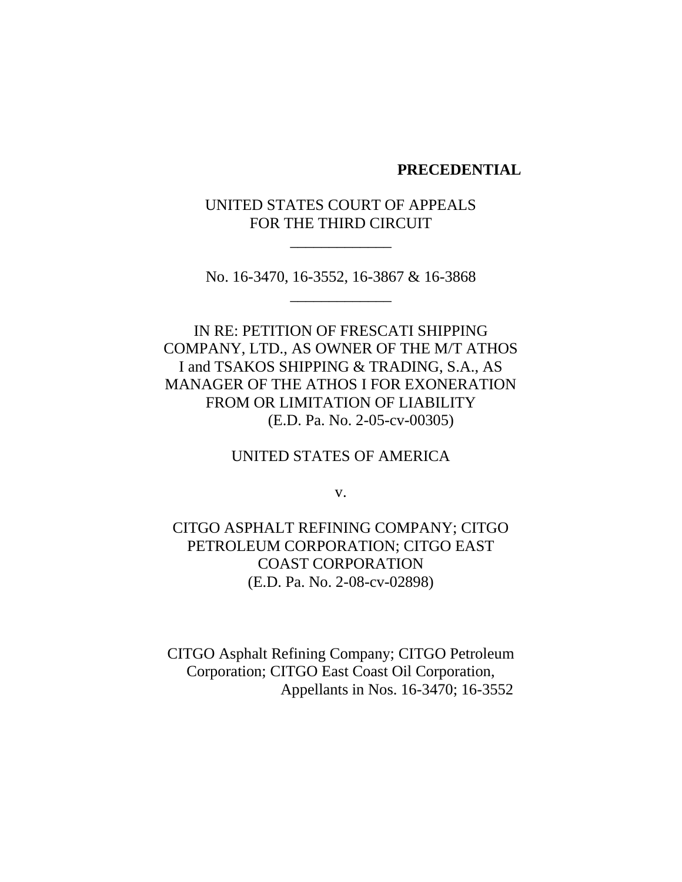#### **PRECEDENTIAL**

UNITED STATES COURT OF APPEALS FOR THE THIRD CIRCUIT

\_\_\_\_\_\_\_\_\_\_\_\_\_

No. 16-3470, 16-3552, 16-3867 & 16-3868 \_\_\_\_\_\_\_\_\_\_\_\_\_

IN RE: PETITION OF FRESCATI SHIPPING COMPANY, LTD., AS OWNER OF THE M/T ATHOS I and TSAKOS SHIPPING & TRADING, S.A., AS MANAGER OF THE ATHOS I FOR EXONERATION FROM OR LIMITATION OF LIABILITY (E.D. Pa. No. 2-05-cv-00305)

UNITED STATES OF AMERICA

v.

CITGO ASPHALT REFINING COMPANY; CITGO PETROLEUM CORPORATION; CITGO EAST COAST CORPORATION (E.D. Pa. No. 2-08-cv-02898)

CITGO Asphalt Refining Company; CITGO Petroleum Corporation; CITGO East Coast Oil Corporation, Appellants in Nos. 16-3470; 16-3552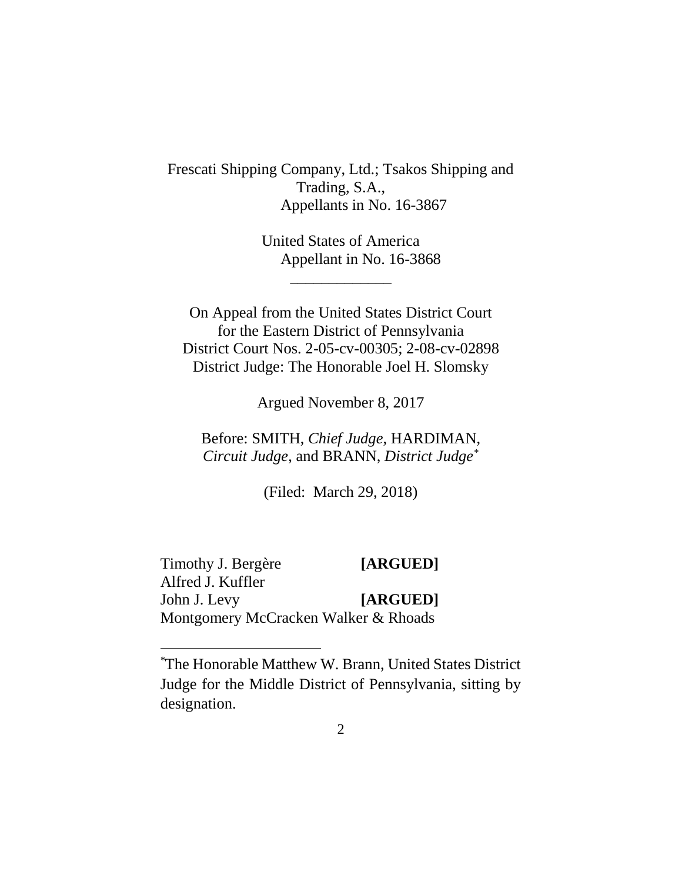Frescati Shipping Company, Ltd.; Tsakos Shipping and Trading, S.A., Appellants in No. 16-3867

> United States of America Appellant in No. 16-3868

On Appeal from the United States District Court for the Eastern District of Pennsylvania District Court Nos. 2-05-cv-00305; 2-08-cv-02898 District Judge: The Honorable Joel H. Slomsky

\_\_\_\_\_\_\_\_\_\_\_\_\_

Argued November 8, 2017

Before: SMITH, *Chief Judge*, HARDIMAN, *Circuit Judge*, and BRANN, *District Judge\**

(Filed: March 29, 2018)

Timothy J. Bergère **[ARGUED]** Alfred J. Kuffler John J. Levy **[ARGUED]** Montgomery McCracken Walker & Rhoads

<sup>\*</sup>The Honorable Matthew W. Brann, United States District Judge for the Middle District of Pennsylvania, sitting by designation.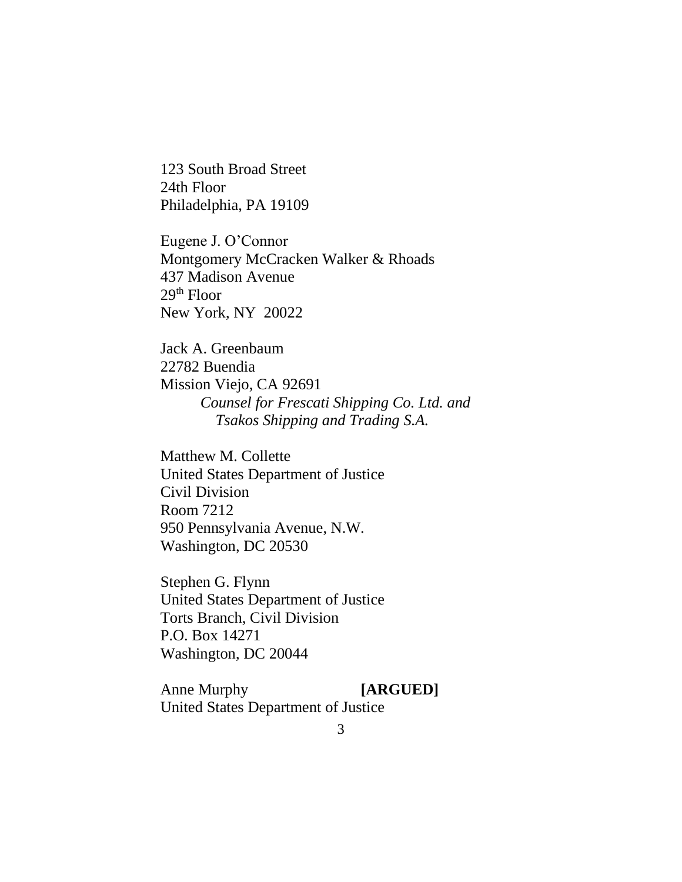123 South Broad Street 24th Floor Philadelphia, PA 19109

Eugene J. O'Connor Montgomery McCracken Walker & Rhoads 437 Madison Avenue  $29<sup>th</sup>$  Floor New York, NY 20022

Jack A. Greenbaum 22782 Buendia Mission Viejo, CA 92691 *Counsel for Frescati Shipping Co. Ltd. and Tsakos Shipping and Trading S.A.*

Matthew M. Collette United States Department of Justice Civil Division Room 7212 950 Pennsylvania Avenue, N.W. Washington, DC 20530

Stephen G. Flynn United States Department of Justice Torts Branch, Civil Division P.O. Box 14271 Washington, DC 20044

Anne Murphy **[ARGUED]** United States Department of Justice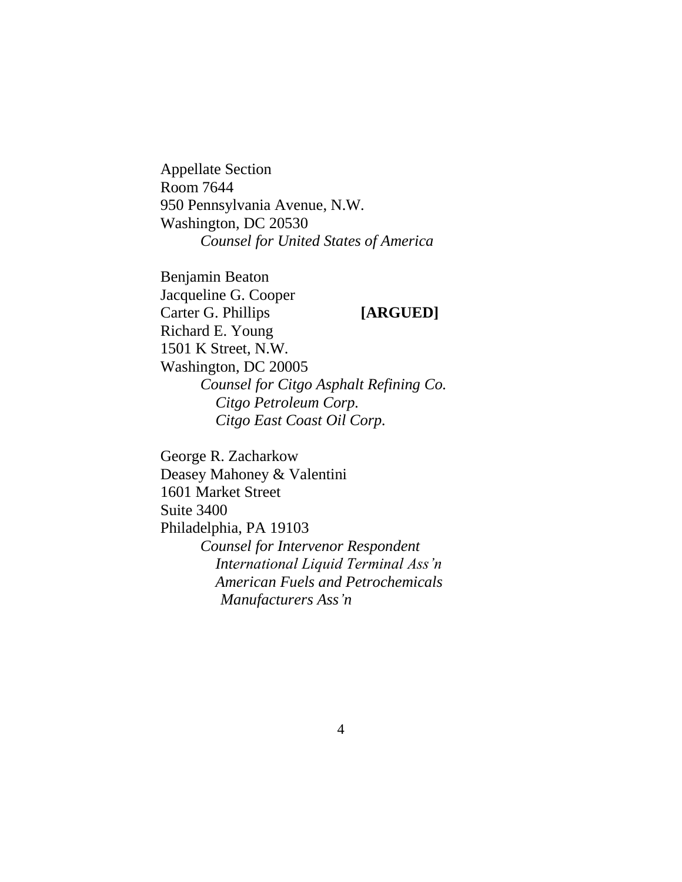Appellate Section Room 7644 950 Pennsylvania Avenue, N.W. Washington, DC 20530 *Counsel for United States of America*

Benjamin Beaton Jacqueline G. Cooper Carter G. Phillips **[ARGUED]** Richard E. Young 1501 K Street, N.W. Washington, DC 20005 *Counsel for Citgo Asphalt Refining Co. Citgo Petroleum Corp. Citgo East Coast Oil Corp.*

George R. Zacharkow Deasey Mahoney & Valentini 1601 Market Street Suite 3400 Philadelphia, PA 19103 *Counsel for Intervenor Respondent International Liquid Terminal Ass'n American Fuels and Petrochemicals Manufacturers Ass'n*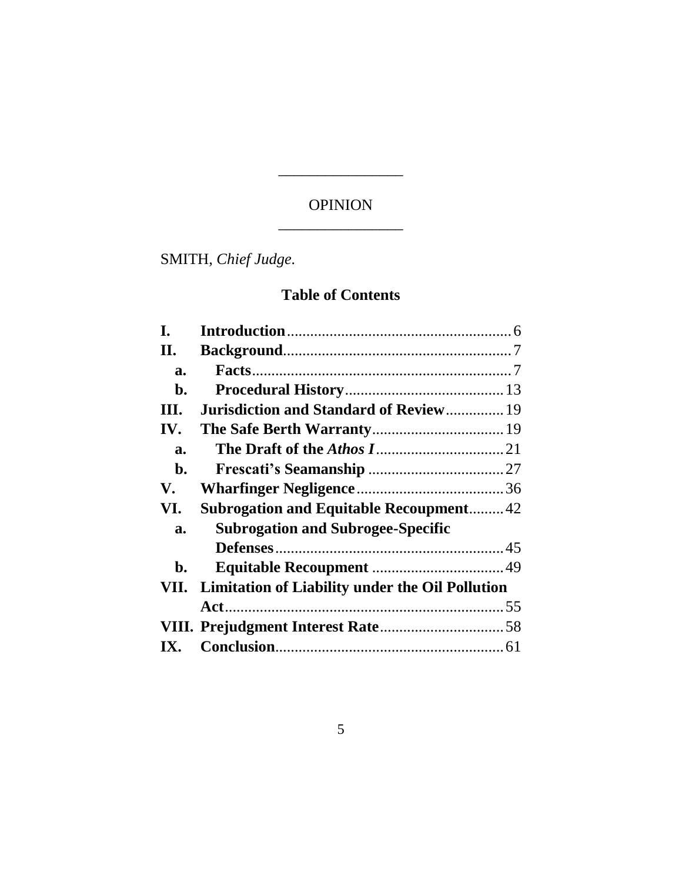# OPINION \_\_\_\_\_\_\_\_\_\_\_\_\_\_\_\_

\_\_\_\_\_\_\_\_\_\_\_\_\_\_\_\_

SMITH, *Chief Judge.*

# **Table of Contents**

| I.   |                                                        |  |
|------|--------------------------------------------------------|--|
| II.  |                                                        |  |
| a.   |                                                        |  |
| b.   |                                                        |  |
| III. | Jurisdiction and Standard of Review 19                 |  |
| IV.  |                                                        |  |
| a.   |                                                        |  |
| b.   |                                                        |  |
| V.   |                                                        |  |
| VI.  | <b>Subrogation and Equitable Recoupment 42</b>         |  |
| a.   | <b>Subrogation and Subrogee-Specific</b>               |  |
|      |                                                        |  |
| b.   |                                                        |  |
| VII. | <b>Limitation of Liability under the Oil Pollution</b> |  |
|      |                                                        |  |
|      |                                                        |  |
| IX.  |                                                        |  |
|      |                                                        |  |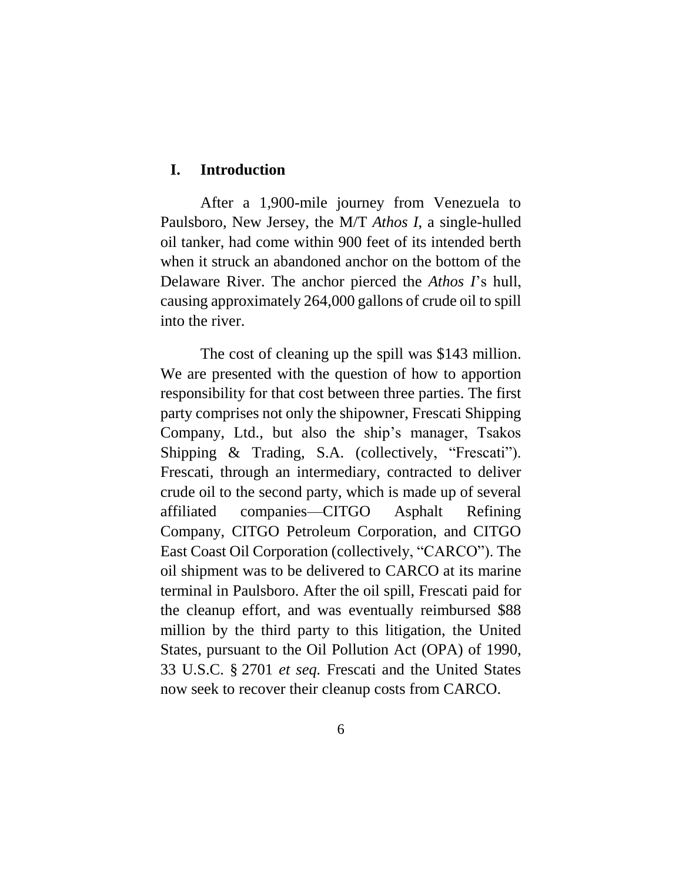#### <span id="page-5-0"></span>**I. Introduction**

After a 1,900-mile journey from Venezuela to Paulsboro, New Jersey, the M/T *Athos I*, a single-hulled oil tanker, had come within 900 feet of its intended berth when it struck an abandoned anchor on the bottom of the Delaware River. The anchor pierced the *Athos I*'s hull, causing approximately 264,000 gallons of crude oil to spill into the river.

The cost of cleaning up the spill was \$143 million. We are presented with the question of how to apportion responsibility for that cost between three parties. The first party comprises not only the shipowner, Frescati Shipping Company, Ltd., but also the ship's manager, Tsakos Shipping & Trading, S.A. (collectively, "Frescati"). Frescati, through an intermediary, contracted to deliver crude oil to the second party, which is made up of several affiliated companies—CITGO Asphalt Refining Company, CITGO Petroleum Corporation, and CITGO East Coast Oil Corporation (collectively, "CARCO"). The oil shipment was to be delivered to CARCO at its marine terminal in Paulsboro. After the oil spill, Frescati paid for the cleanup effort, and was eventually reimbursed \$88 million by the third party to this litigation, the United States, pursuant to the Oil Pollution Act (OPA) of 1990, 33 U.S.C. § 2701 *et seq.* Frescati and the United States now seek to recover their cleanup costs from CARCO.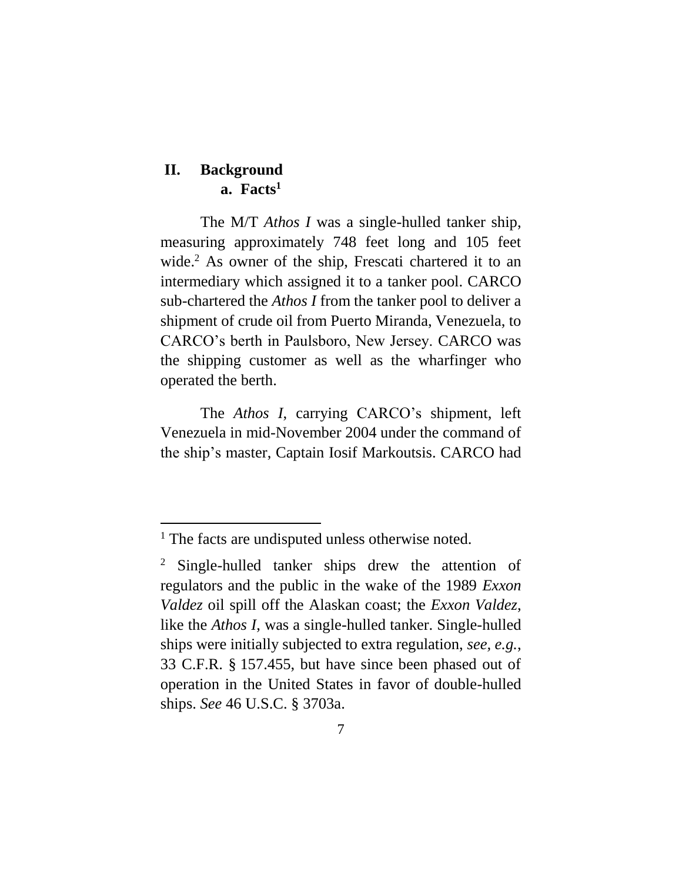## <span id="page-6-1"></span><span id="page-6-0"></span>**II. Background a. Facts<sup>1</sup>**

The M/T *Athos I* was a single-hulled tanker ship, measuring approximately 748 feet long and 105 feet wide.<sup>2</sup> As owner of the ship, Frescati chartered it to an intermediary which assigned it to a tanker pool. CARCO sub-chartered the *Athos I* from the tanker pool to deliver a shipment of crude oil from Puerto Miranda, Venezuela, to CARCO's berth in Paulsboro, New Jersey. CARCO was the shipping customer as well as the wharfinger who operated the berth.

The *Athos I*, carrying CARCO's shipment, left Venezuela in mid-November 2004 under the command of the ship's master, Captain Iosif Markoutsis. CARCO had

<sup>&</sup>lt;sup>1</sup> The facts are undisputed unless otherwise noted.

<sup>&</sup>lt;sup>2</sup> Single-hulled tanker ships drew the attention of regulators and the public in the wake of the 1989 *Exxon Valdez* oil spill off the Alaskan coast; the *Exxon Valdez*, like the *Athos I*, was a single-hulled tanker. Single-hulled ships were initially subjected to extra regulation, *see, e.g.*, 33 C.F.R. § 157.455, but have since been phased out of operation in the United States in favor of double-hulled ships. *See* 46 U.S.C. § 3703a.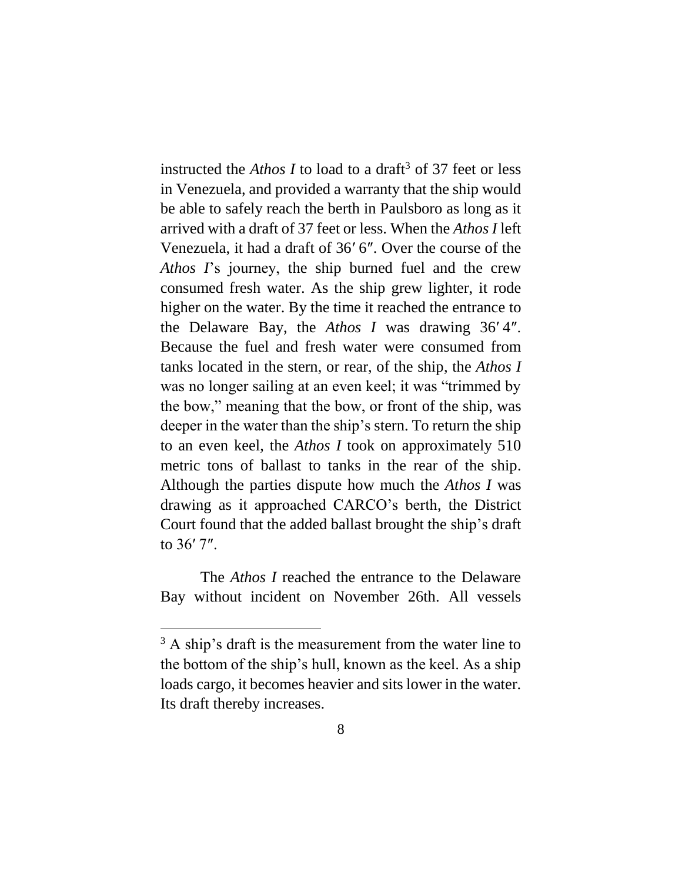instructed the *Athos I* to load to a draft<sup>3</sup> of 37 feet or less in Venezuela, and provided a warranty that the ship would be able to safely reach the berth in Paulsboro as long as it arrived with a draft of 37 feet or less. When the *Athos I* left Venezuela, it had a draft of 36′ 6″. Over the course of the *Athos I*'s journey, the ship burned fuel and the crew consumed fresh water. As the ship grew lighter, it rode higher on the water. By the time it reached the entrance to the Delaware Bay, the *Athos I* was drawing 36′ 4″. Because the fuel and fresh water were consumed from tanks located in the stern, or rear, of the ship, the *Athos I*  was no longer sailing at an even keel; it was "trimmed by the bow," meaning that the bow, or front of the ship, was deeper in the water than the ship's stern. To return the ship to an even keel, the *Athos I* took on approximately 510 metric tons of ballast to tanks in the rear of the ship. Although the parties dispute how much the *Athos I* was drawing as it approached CARCO's berth, the District Court found that the added ballast brought the ship's draft to 36′ 7″.

The *Athos I* reached the entrance to the Delaware Bay without incident on November 26th. All vessels

 $3$  A ship's draft is the measurement from the water line to the bottom of the ship's hull, known as the keel. As a ship loads cargo, it becomes heavier and sits lower in the water. Its draft thereby increases.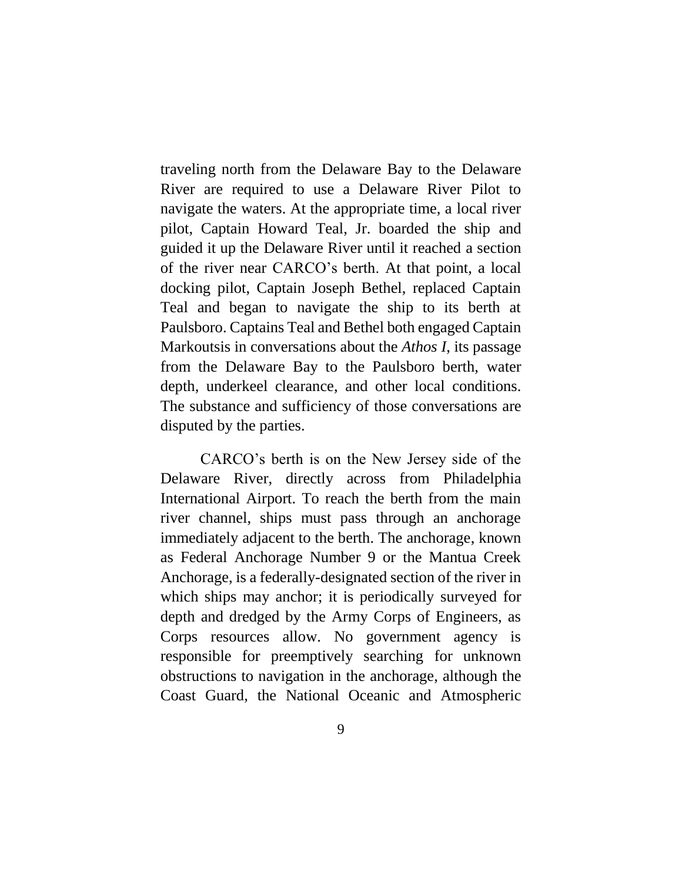traveling north from the Delaware Bay to the Delaware River are required to use a Delaware River Pilot to navigate the waters. At the appropriate time, a local river pilot, Captain Howard Teal, Jr. boarded the ship and guided it up the Delaware River until it reached a section of the river near CARCO's berth. At that point, a local docking pilot, Captain Joseph Bethel, replaced Captain Teal and began to navigate the ship to its berth at Paulsboro. Captains Teal and Bethel both engaged Captain Markoutsis in conversations about the *Athos I*, its passage from the Delaware Bay to the Paulsboro berth, water depth, underkeel clearance, and other local conditions. The substance and sufficiency of those conversations are disputed by the parties.

CARCO's berth is on the New Jersey side of the Delaware River, directly across from Philadelphia International Airport. To reach the berth from the main river channel, ships must pass through an anchorage immediately adjacent to the berth. The anchorage, known as Federal Anchorage Number 9 or the Mantua Creek Anchorage, is a federally-designated section of the river in which ships may anchor; it is periodically surveyed for depth and dredged by the Army Corps of Engineers, as Corps resources allow. No government agency is responsible for preemptively searching for unknown obstructions to navigation in the anchorage, although the Coast Guard, the National Oceanic and Atmospheric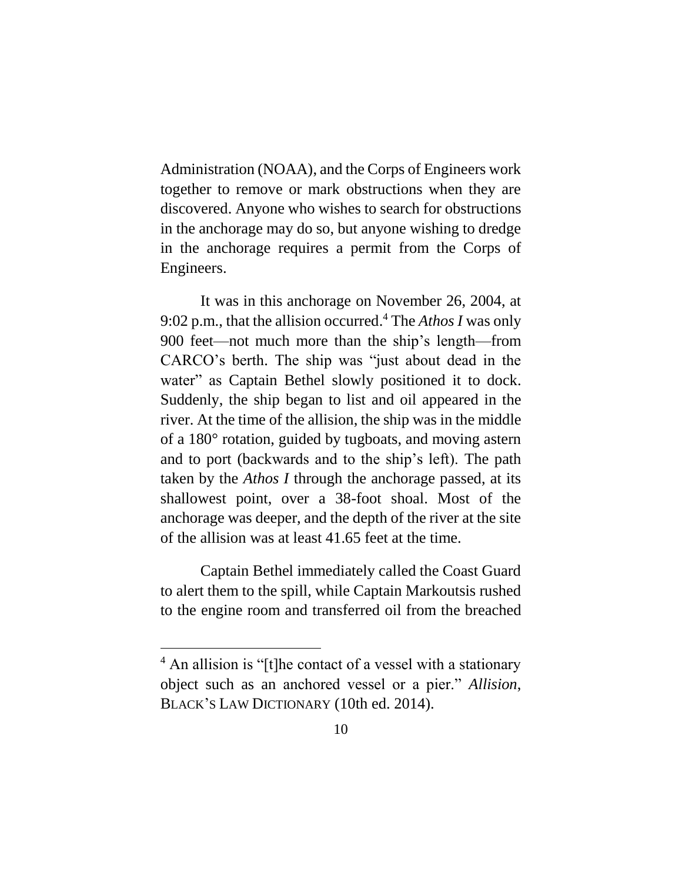Administration (NOAA), and the Corps of Engineers work together to remove or mark obstructions when they are discovered. Anyone who wishes to search for obstructions in the anchorage may do so, but anyone wishing to dredge in the anchorage requires a permit from the Corps of Engineers.

It was in this anchorage on November 26, 2004, at 9:02 p.m., that the allision occurred. <sup>4</sup> The *Athos I* was only 900 feet—not much more than the ship's length—from CARCO's berth. The ship was "just about dead in the water" as Captain Bethel slowly positioned it to dock. Suddenly, the ship began to list and oil appeared in the river. At the time of the allision, the ship was in the middle of a 180° rotation, guided by tugboats, and moving astern and to port (backwards and to the ship's left). The path taken by the *Athos I* through the anchorage passed, at its shallowest point, over a 38-foot shoal. Most of the anchorage was deeper, and the depth of the river at the site of the allision was at least 41.65 feet at the time.

Captain Bethel immediately called the Coast Guard to alert them to the spill, while Captain Markoutsis rushed to the engine room and transferred oil from the breached

<sup>4</sup> An allision is "[t]he contact of a vessel with a stationary object such as an anchored vessel or a pier." *Allision*, BLACK'S LAW DICTIONARY (10th ed. 2014).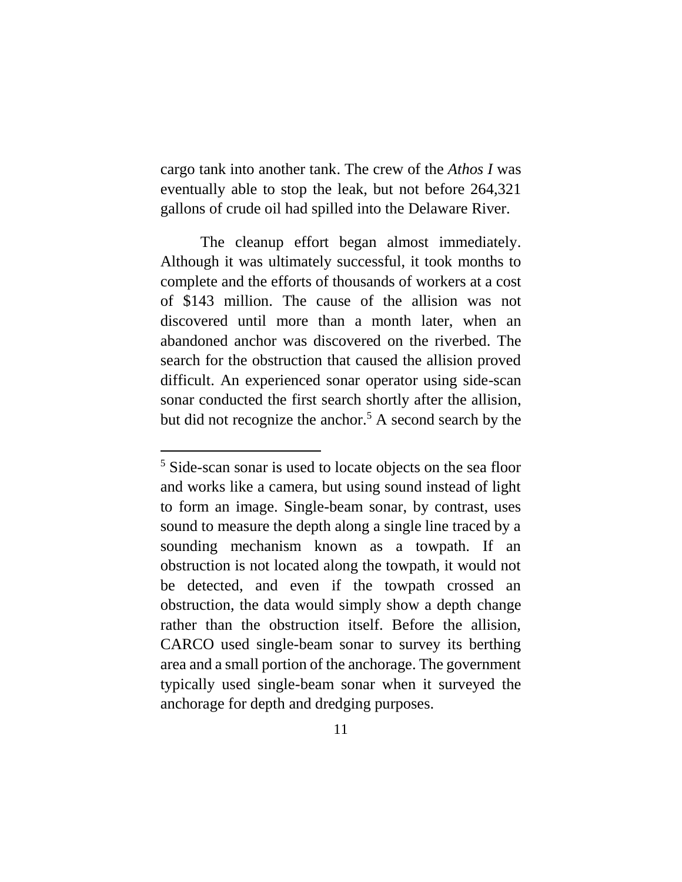cargo tank into another tank. The crew of the *Athos I* was eventually able to stop the leak, but not before 264,321 gallons of crude oil had spilled into the Delaware River.

The cleanup effort began almost immediately. Although it was ultimately successful, it took months to complete and the efforts of thousands of workers at a cost of \$143 million. The cause of the allision was not discovered until more than a month later, when an abandoned anchor was discovered on the riverbed. The search for the obstruction that caused the allision proved difficult. An experienced sonar operator using side-scan sonar conducted the first search shortly after the allision, but did not recognize the anchor. <sup>5</sup> A second search by the

 $\overline{a}$ 

<sup>5</sup> Side-scan sonar is used to locate objects on the sea floor and works like a camera, but using sound instead of light to form an image. Single-beam sonar, by contrast, uses sound to measure the depth along a single line traced by a sounding mechanism known as a towpath. If an obstruction is not located along the towpath, it would not be detected, and even if the towpath crossed an obstruction, the data would simply show a depth change rather than the obstruction itself. Before the allision, CARCO used single-beam sonar to survey its berthing area and a small portion of the anchorage. The government typically used single-beam sonar when it surveyed the anchorage for depth and dredging purposes.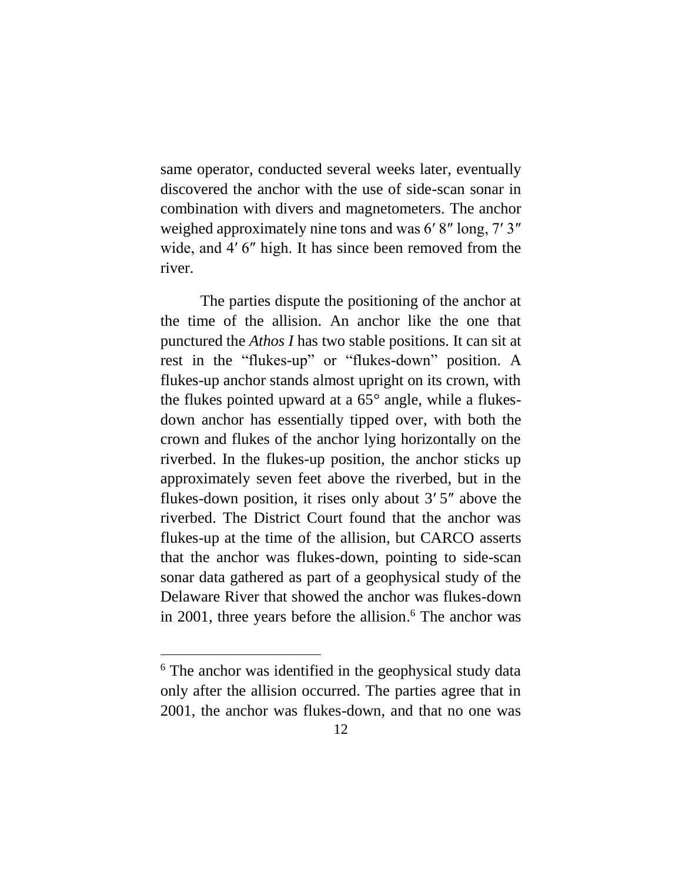same operator, conducted several weeks later, eventually discovered the anchor with the use of side-scan sonar in combination with divers and magnetometers. The anchor weighed approximately nine tons and was 6′ 8″ long, 7′ 3″ wide, and 4'6" high. It has since been removed from the river.

The parties dispute the positioning of the anchor at the time of the allision. An anchor like the one that punctured the *Athos I* has two stable positions. It can sit at rest in the "flukes-up" or "flukes-down" position. A flukes-up anchor stands almost upright on its crown, with the flukes pointed upward at a 65° angle, while a flukesdown anchor has essentially tipped over, with both the crown and flukes of the anchor lying horizontally on the riverbed. In the flukes-up position, the anchor sticks up approximately seven feet above the riverbed, but in the flukes-down position, it rises only about 3′ 5″ above the riverbed. The District Court found that the anchor was flukes-up at the time of the allision, but CARCO asserts that the anchor was flukes-down, pointing to side-scan sonar data gathered as part of a geophysical study of the Delaware River that showed the anchor was flukes-down in 2001, three years before the allision. <sup>6</sup> The anchor was

<sup>&</sup>lt;sup>6</sup> The anchor was identified in the geophysical study data only after the allision occurred. The parties agree that in 2001, the anchor was flukes-down, and that no one was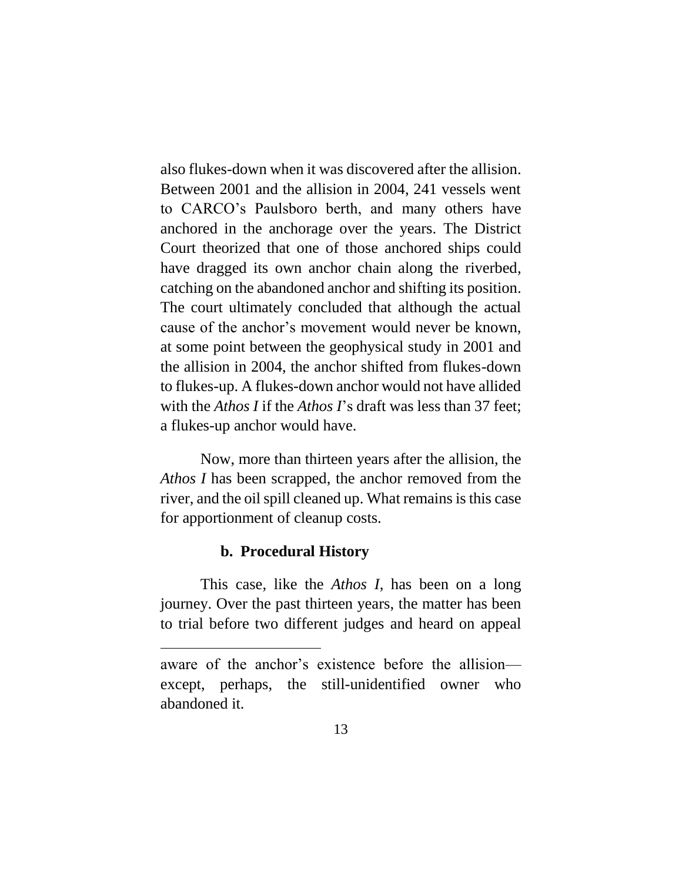also flukes-down when it was discovered after the allision. Between 2001 and the allision in 2004, 241 vessels went to CARCO's Paulsboro berth, and many others have anchored in the anchorage over the years. The District Court theorized that one of those anchored ships could have dragged its own anchor chain along the riverbed, catching on the abandoned anchor and shifting its position. The court ultimately concluded that although the actual cause of the anchor's movement would never be known, at some point between the geophysical study in 2001 and the allision in 2004, the anchor shifted from flukes-down to flukes-up. A flukes-down anchor would not have allided with the *Athos I* if the *Athos I*'s draft was less than 37 feet: a flukes-up anchor would have.

Now, more than thirteen years after the allision, the *Athos I* has been scrapped, the anchor removed from the river, and the oil spill cleaned up. What remains is this case for apportionment of cleanup costs.

#### **b. Procedural History**

<span id="page-12-0"></span>This case, like the *Athos I*, has been on a long journey. Over the past thirteen years, the matter has been to trial before two different judges and heard on appeal

aware of the anchor's existence before the allision except, perhaps, the still-unidentified owner who abandoned it.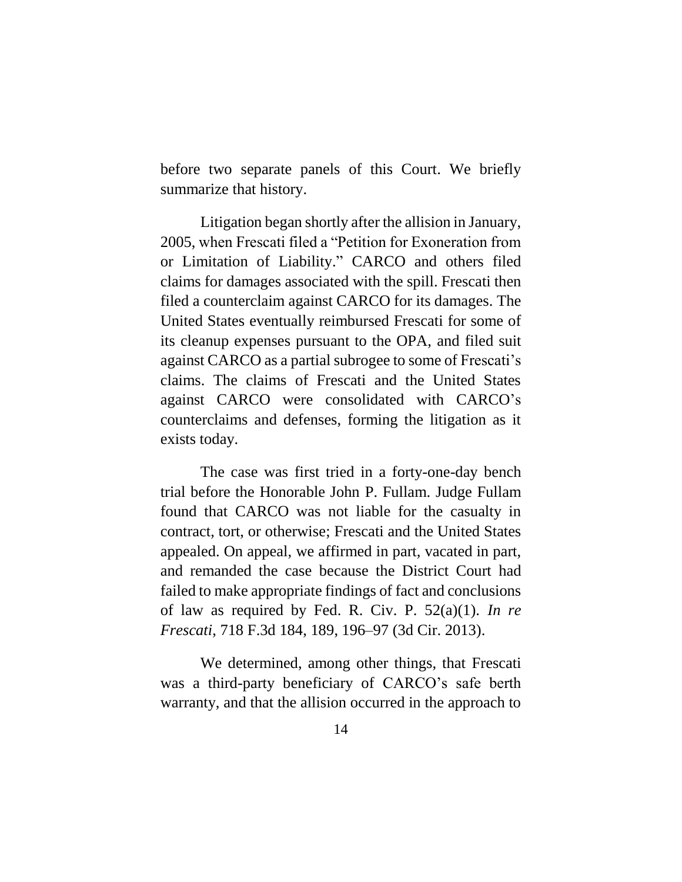before two separate panels of this Court. We briefly summarize that history.

Litigation began shortly after the allision in January, 2005, when Frescati filed a "Petition for Exoneration from or Limitation of Liability." CARCO and others filed claims for damages associated with the spill. Frescati then filed a counterclaim against CARCO for its damages. The United States eventually reimbursed Frescati for some of its cleanup expenses pursuant to the OPA, and filed suit against CARCO as a partial subrogee to some of Frescati's claims. The claims of Frescati and the United States against CARCO were consolidated with CARCO's counterclaims and defenses, forming the litigation as it exists today.

The case was first tried in a forty-one-day bench trial before the Honorable John P. Fullam. Judge Fullam found that CARCO was not liable for the casualty in contract, tort, or otherwise; Frescati and the United States appealed. On appeal, we affirmed in part, vacated in part, and remanded the case because the District Court had failed to make appropriate findings of fact and conclusions of law as required by Fed. R. Civ. P. 52(a)(1). *In re Frescati*, 718 F.3d 184, 189, 196–97 (3d Cir. 2013).

We determined, among other things, that Frescati was a third-party beneficiary of CARCO's safe berth warranty, and that the allision occurred in the approach to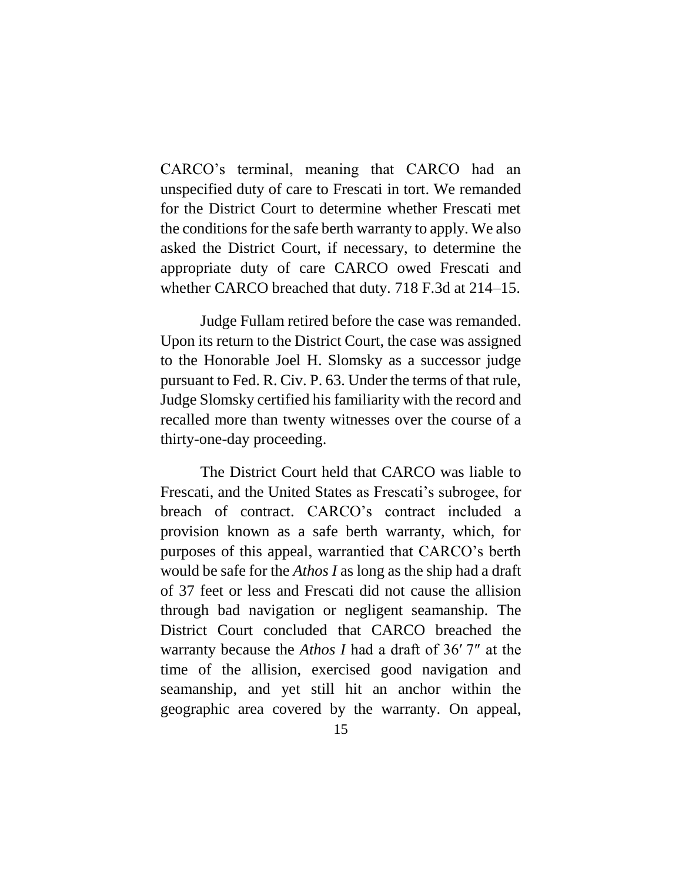CARCO's terminal, meaning that CARCO had an unspecified duty of care to Frescati in tort. We remanded for the District Court to determine whether Frescati met the conditions for the safe berth warranty to apply. We also asked the District Court, if necessary, to determine the appropriate duty of care CARCO owed Frescati and whether CARCO breached that duty. 718 F.3d at 214–15.

Judge Fullam retired before the case was remanded. Upon its return to the District Court, the case was assigned to the Honorable Joel H. Slomsky as a successor judge pursuant to Fed. R. Civ. P. 63. Under the terms of that rule, Judge Slomsky certified his familiarity with the record and recalled more than twenty witnesses over the course of a thirty-one-day proceeding.

The District Court held that CARCO was liable to Frescati, and the United States as Frescati's subrogee, for breach of contract. CARCO's contract included a provision known as a safe berth warranty, which, for purposes of this appeal, warrantied that CARCO's berth would be safe for the *Athos I* as long as the ship had a draft of 37 feet or less and Frescati did not cause the allision through bad navigation or negligent seamanship. The District Court concluded that CARCO breached the warranty because the *Athos I* had a draft of 36′ 7″ at the time of the allision, exercised good navigation and seamanship, and yet still hit an anchor within the geographic area covered by the warranty. On appeal,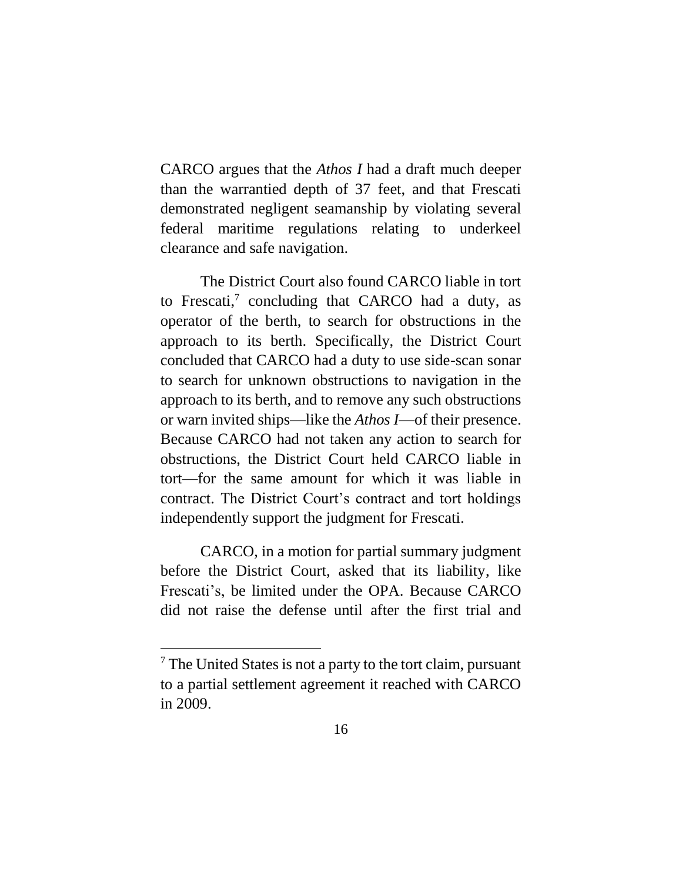CARCO argues that the *Athos I* had a draft much deeper than the warrantied depth of 37 feet, and that Frescati demonstrated negligent seamanship by violating several federal maritime regulations relating to underkeel clearance and safe navigation.

The District Court also found CARCO liable in tort to Frescati, 7 concluding that CARCO had a duty, as operator of the berth, to search for obstructions in the approach to its berth. Specifically, the District Court concluded that CARCO had a duty to use side-scan sonar to search for unknown obstructions to navigation in the approach to its berth, and to remove any such obstructions or warn invited ships—like the *Athos I*—of their presence. Because CARCO had not taken any action to search for obstructions, the District Court held CARCO liable in tort—for the same amount for which it was liable in contract. The District Court's contract and tort holdings independently support the judgment for Frescati.

CARCO, in a motion for partial summary judgment before the District Court, asked that its liability, like Frescati's, be limited under the OPA. Because CARCO did not raise the defense until after the first trial and

<sup>&</sup>lt;sup>7</sup> The United States is not a party to the tort claim, pursuant to a partial settlement agreement it reached with CARCO in 2009.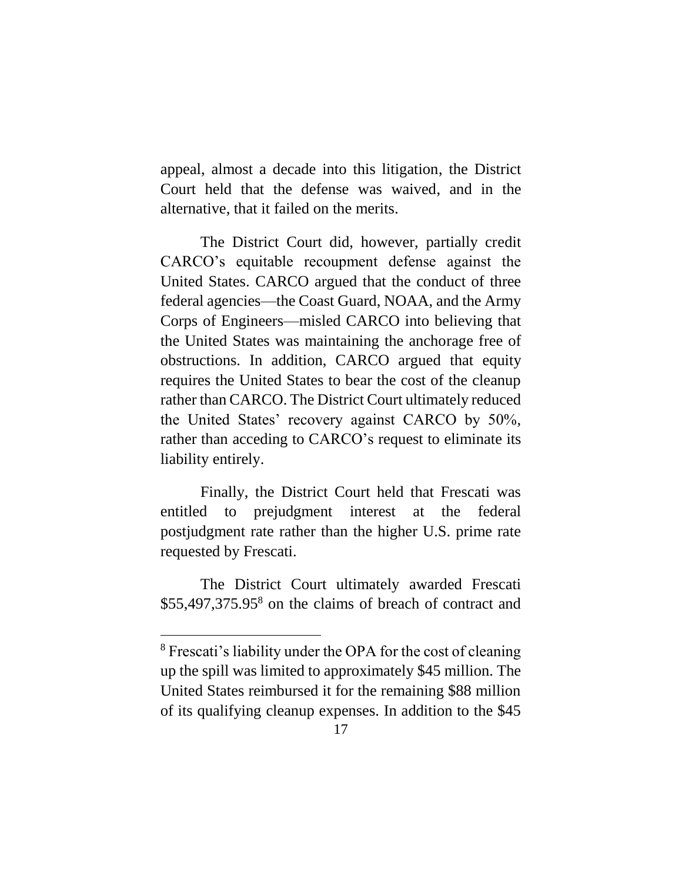appeal, almost a decade into this litigation, the District Court held that the defense was waived, and in the alternative, that it failed on the merits.

The District Court did, however, partially credit CARCO's equitable recoupment defense against the United States. CARCO argued that the conduct of three federal agencies—the Coast Guard, NOAA, and the Army Corps of Engineers—misled CARCO into believing that the United States was maintaining the anchorage free of obstructions. In addition, CARCO argued that equity requires the United States to bear the cost of the cleanup rather than CARCO. The District Court ultimately reduced the United States' recovery against CARCO by 50%, rather than acceding to CARCO's request to eliminate its liability entirely.

Finally, the District Court held that Frescati was entitled to prejudgment interest at the federal postjudgment rate rather than the higher U.S. prime rate requested by Frescati.

The District Court ultimately awarded Frescati \$55,497,375.95<sup>8</sup> on the claims of breach of contract and

<sup>8</sup> Frescati's liability under the OPA for the cost of cleaning up the spill was limited to approximately \$45 million. The United States reimbursed it for the remaining \$88 million of its qualifying cleanup expenses. In addition to the \$45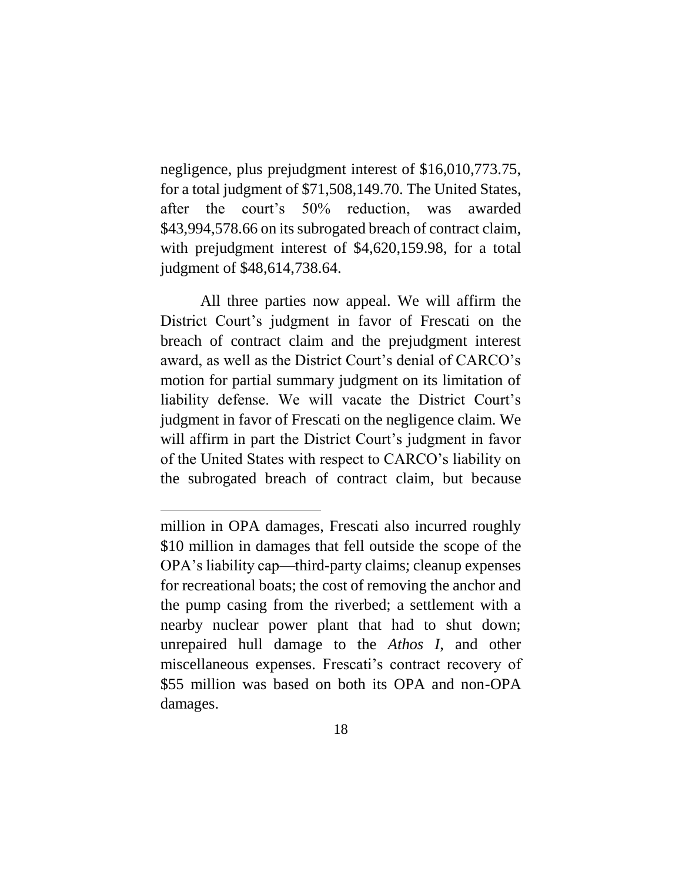negligence, plus prejudgment interest of \$16,010,773.75, for a total judgment of \$71,508,149.70. The United States, after the court's 50% reduction, was awarded \$43,994,578.66 on its subrogated breach of contract claim, with prejudgment interest of \$4,620,159.98, for a total judgment of \$48,614,738.64.

All three parties now appeal. We will affirm the District Court's judgment in favor of Frescati on the breach of contract claim and the prejudgment interest award, as well as the District Court's denial of CARCO's motion for partial summary judgment on its limitation of liability defense. We will vacate the District Court's judgment in favor of Frescati on the negligence claim. We will affirm in part the District Court's judgment in favor of the United States with respect to CARCO's liability on the subrogated breach of contract claim, but because

 $\overline{a}$ 

million in OPA damages, Frescati also incurred roughly \$10 million in damages that fell outside the scope of the OPA's liability cap—third-party claims; cleanup expenses for recreational boats; the cost of removing the anchor and the pump casing from the riverbed; a settlement with a nearby nuclear power plant that had to shut down; unrepaired hull damage to the *Athos I*, and other miscellaneous expenses. Frescati's contract recovery of \$55 million was based on both its OPA and non-OPA damages.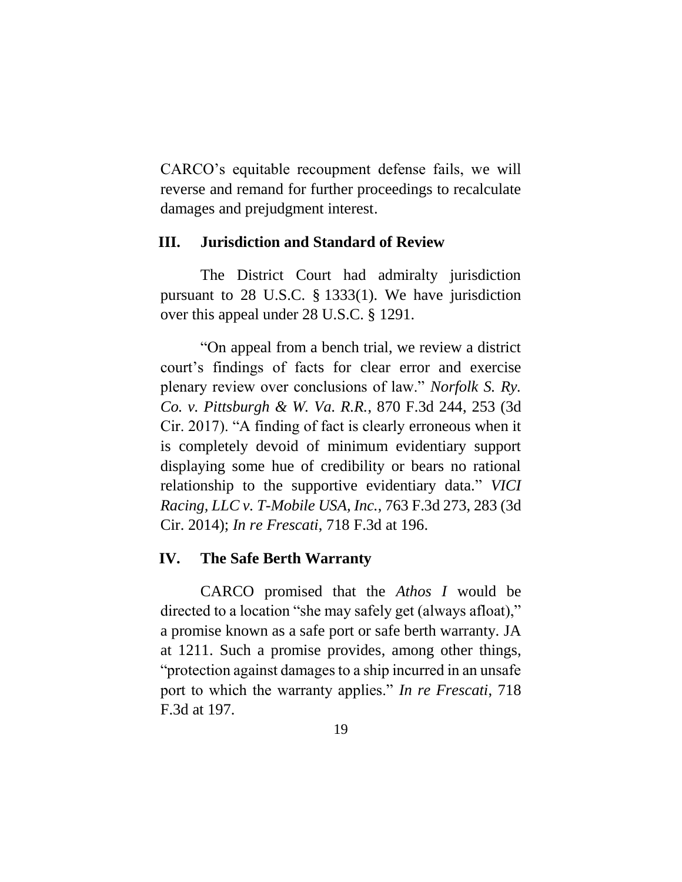CARCO's equitable recoupment defense fails, we will reverse and remand for further proceedings to recalculate damages and prejudgment interest.

#### <span id="page-18-0"></span>**III. Jurisdiction and Standard of Review**

The District Court had admiralty jurisdiction pursuant to 28 U.S.C. § 1333(1). We have jurisdiction over this appeal under 28 U.S.C. § 1291.

"On appeal from a bench trial, we review a district court's findings of facts for clear error and exercise plenary review over conclusions of law." *Norfolk S. Ry. Co. v. Pittsburgh & W. Va. R.R.*, 870 F.3d 244, 253 (3d Cir. 2017). "A finding of fact is clearly erroneous when it is completely devoid of minimum evidentiary support displaying some hue of credibility or bears no rational relationship to the supportive evidentiary data." *VICI Racing, LLC v. T-Mobile USA, Inc.*, 763 F.3d 273, 283 (3d Cir. 2014); *In re Frescati*, 718 F.3d at 196.

#### <span id="page-18-1"></span>**IV. The Safe Berth Warranty**

CARCO promised that the *Athos I* would be directed to a location "she may safely get (always afloat)," a promise known as a safe port or safe berth warranty. JA at 1211. Such a promise provides, among other things, "protection against damages to a ship incurred in an unsafe port to which the warranty applies." *In re Frescati*, 718 F.3d at 197.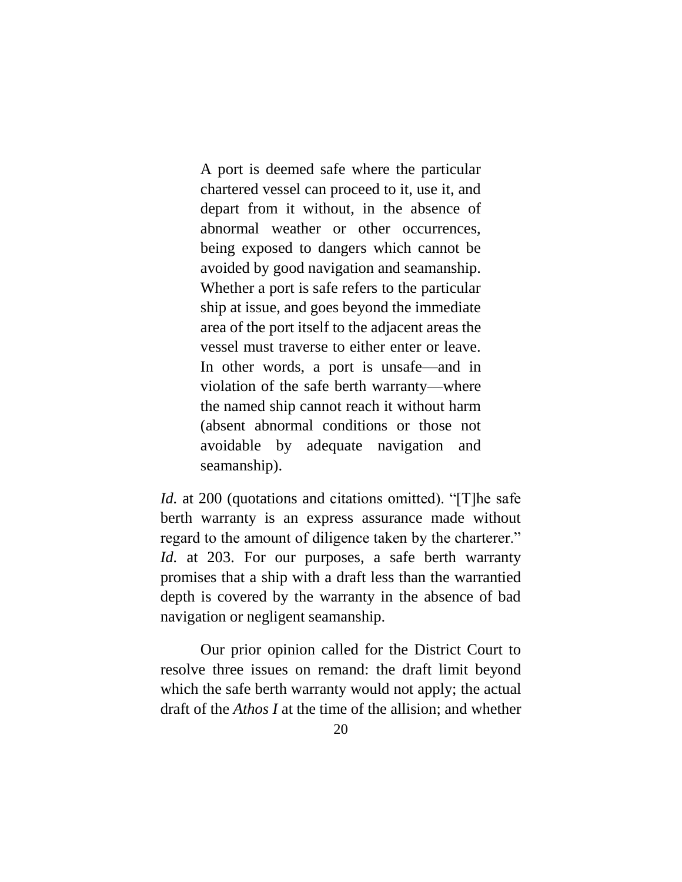A port is deemed safe where the particular chartered vessel can proceed to it, use it, and depart from it without, in the absence of abnormal weather or other occurrences, being exposed to dangers which cannot be avoided by good navigation and seamanship. Whether a port is safe refers to the particular ship at issue, and goes beyond the immediate area of the port itself to the adjacent areas the vessel must traverse to either enter or leave. In other words, a port is unsafe—and in violation of the safe berth warranty—where the named ship cannot reach it without harm (absent abnormal conditions or those not avoidable by adequate navigation and seamanship).

*Id.* at 200 (quotations and citations omitted). "[T]he safe berth warranty is an express assurance made without regard to the amount of diligence taken by the charterer." *Id.* at 203. For our purposes, a safe berth warranty promises that a ship with a draft less than the warrantied depth is covered by the warranty in the absence of bad navigation or negligent seamanship.

Our prior opinion called for the District Court to resolve three issues on remand: the draft limit beyond which the safe berth warranty would not apply; the actual draft of the *Athos I* at the time of the allision; and whether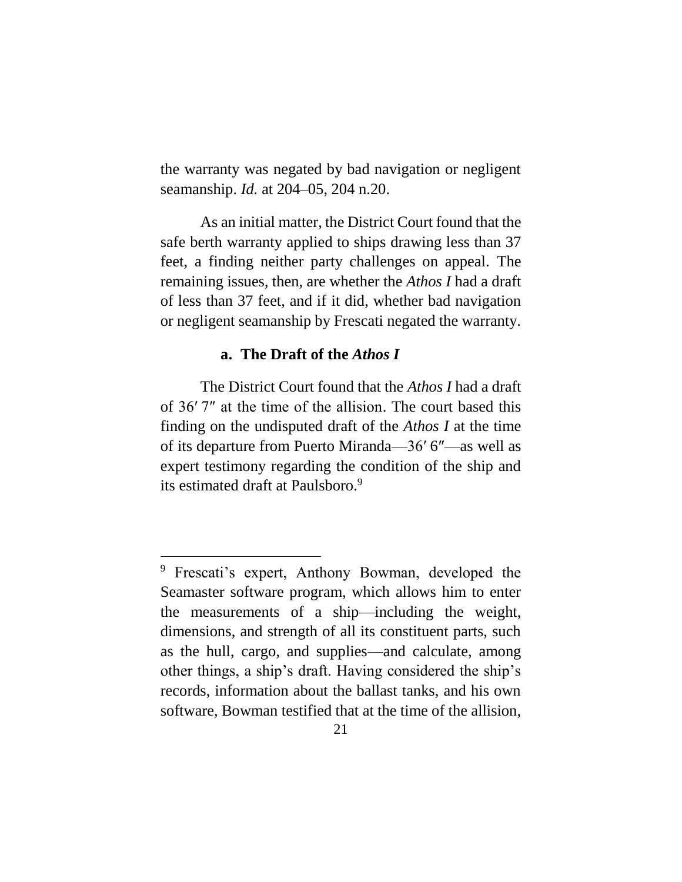the warranty was negated by bad navigation or negligent seamanship. *Id.* at 204–05, 204 n.20.

As an initial matter, the District Court found that the safe berth warranty applied to ships drawing less than 37 feet, a finding neither party challenges on appeal. The remaining issues, then, are whether the *Athos I* had a draft of less than 37 feet, and if it did, whether bad navigation or negligent seamanship by Frescati negated the warranty.

#### **a. The Draft of the** *Athos I*

<span id="page-20-0"></span>The District Court found that the *Athos I* had a draft of 36′ 7″ at the time of the allision. The court based this finding on the undisputed draft of the *Athos I* at the time of its departure from Puerto Miranda—36′ 6″—as well as expert testimony regarding the condition of the ship and its estimated draft at Paulsboro. 9

<sup>9</sup> Frescati's expert, Anthony Bowman, developed the Seamaster software program, which allows him to enter the measurements of a ship—including the weight, dimensions, and strength of all its constituent parts, such as the hull, cargo, and supplies—and calculate, among other things, a ship's draft. Having considered the ship's records, information about the ballast tanks, and his own software, Bowman testified that at the time of the allision,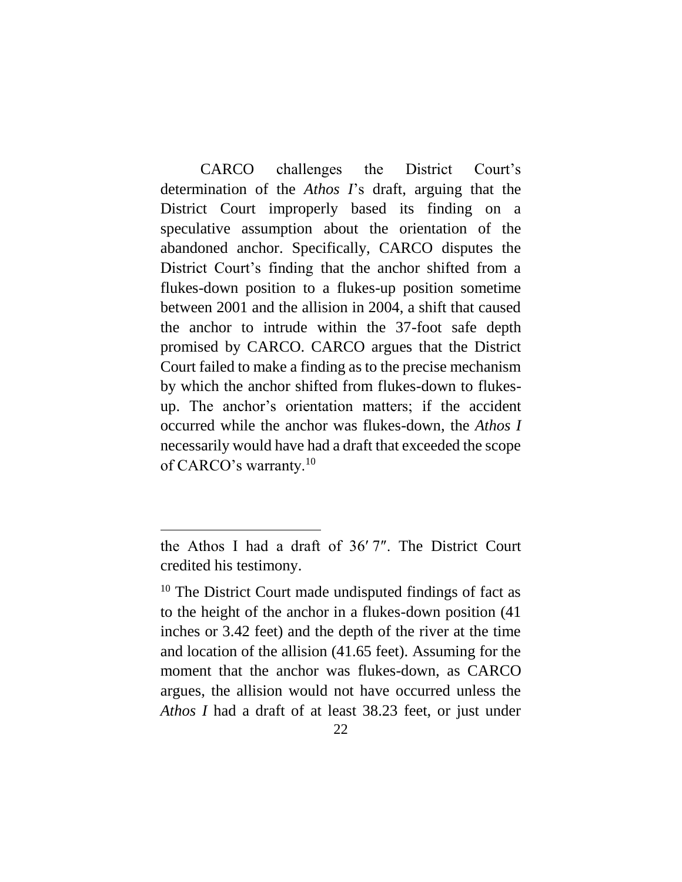CARCO challenges the District Court's determination of the *Athos I*'s draft, arguing that the District Court improperly based its finding on a speculative assumption about the orientation of the abandoned anchor. Specifically, CARCO disputes the District Court's finding that the anchor shifted from a flukes-down position to a flukes-up position sometime between 2001 and the allision in 2004, a shift that caused the anchor to intrude within the 37-foot safe depth promised by CARCO. CARCO argues that the District Court failed to make a finding as to the precise mechanism by which the anchor shifted from flukes-down to flukesup. The anchor's orientation matters; if the accident occurred while the anchor was flukes-down, the *Athos I*  necessarily would have had a draft that exceeded the scope of CARCO's warranty.<sup>10</sup>

<span id="page-21-0"></span>the Athos I had a draft of 36′ 7″. The District Court credited his testimony.

<sup>&</sup>lt;sup>10</sup> The District Court made undisputed findings of fact as to the height of the anchor in a flukes-down position (41 inches or 3.42 feet) and the depth of the river at the time and location of the allision (41.65 feet). Assuming for the moment that the anchor was flukes-down, as CARCO argues, the allision would not have occurred unless the *Athos I* had a draft of at least 38.23 feet, or just under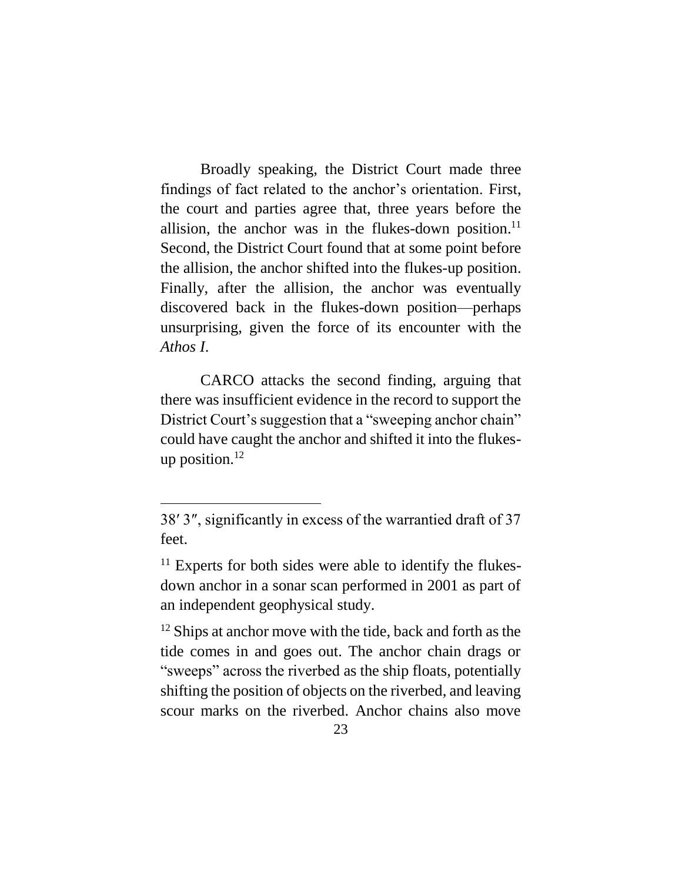Broadly speaking, the District Court made three findings of fact related to the anchor's orientation. First, the court and parties agree that, three years before the allision, the anchor was in the flukes-down position.<sup>11</sup> Second, the District Court found that at some point before the allision, the anchor shifted into the flukes-up position. Finally, after the allision, the anchor was eventually discovered back in the flukes-down position—perhaps unsurprising, given the force of its encounter with the *Athos I*.

CARCO attacks the second finding, arguing that there was insufficient evidence in the record to support the District Court's suggestion that a "sweeping anchor chain" could have caught the anchor and shifted it into the flukesup position. $12$ 

 $\overline{a}$ 

 $12$  Ships at anchor move with the tide, back and forth as the tide comes in and goes out. The anchor chain drags or "sweeps" across the riverbed as the ship floats, potentially shifting the position of objects on the riverbed, and leaving scour marks on the riverbed. Anchor chains also move

<sup>38′</sup> 3″, significantly in excess of the warrantied draft of 37 feet.

 $11$  Experts for both sides were able to identify the flukesdown anchor in a sonar scan performed in 2001 as part of an independent geophysical study.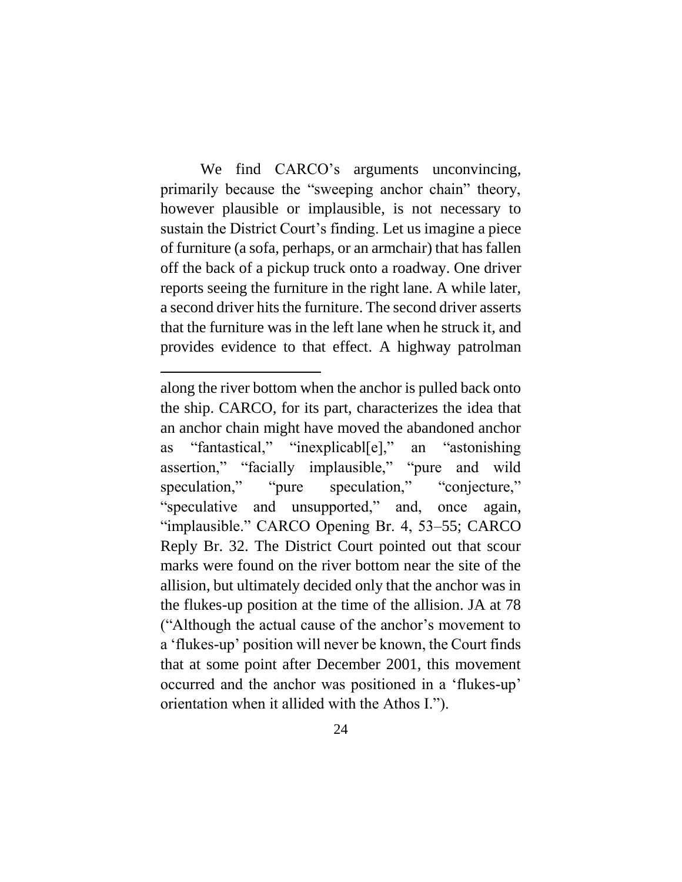We find CARCO's arguments unconvincing, primarily because the "sweeping anchor chain" theory, however plausible or implausible, is not necessary to sustain the District Court's finding. Let us imagine a piece of furniture (a sofa, perhaps, or an armchair) that has fallen off the back of a pickup truck onto a roadway. One driver reports seeing the furniture in the right lane. A while later, a second driver hits the furniture. The second driver asserts that the furniture was in the left lane when he struck it, and provides evidence to that effect. A highway patrolman

along the river bottom when the anchor is pulled back onto the ship. CARCO, for its part, characterizes the idea that an anchor chain might have moved the abandoned anchor as "fantastical," "inexplicabl[e]," an "astonishing assertion," "facially implausible," "pure and wild speculation," "pure speculation," "conjecture," "speculative and unsupported," and, once again, "implausible." CARCO Opening Br. 4, 53–55; CARCO Reply Br. 32. The District Court pointed out that scour marks were found on the river bottom near the site of the allision, but ultimately decided only that the anchor was in the flukes-up position at the time of the allision. JA at 78 ("Although the actual cause of the anchor's movement to a 'flukes-up' position will never be known, the Court finds that at some point after December 2001, this movement occurred and the anchor was positioned in a 'flukes-up' orientation when it allided with the Athos I.").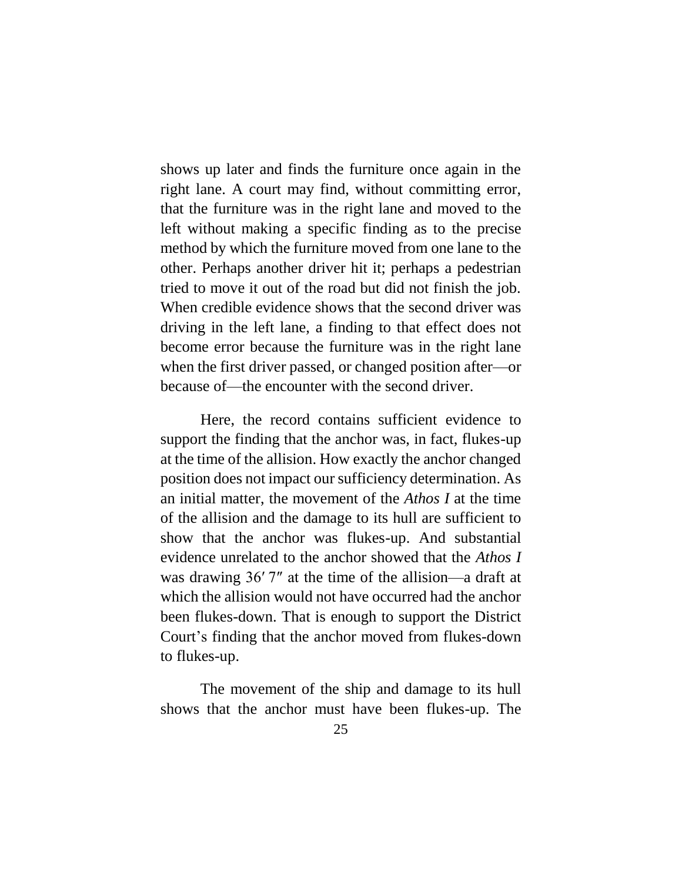shows up later and finds the furniture once again in the right lane. A court may find, without committing error, that the furniture was in the right lane and moved to the left without making a specific finding as to the precise method by which the furniture moved from one lane to the other. Perhaps another driver hit it; perhaps a pedestrian tried to move it out of the road but did not finish the job. When credible evidence shows that the second driver was driving in the left lane, a finding to that effect does not become error because the furniture was in the right lane when the first driver passed, or changed position after—or because of—the encounter with the second driver.

Here, the record contains sufficient evidence to support the finding that the anchor was, in fact, flukes-up at the time of the allision. How exactly the anchor changed position does not impact our sufficiency determination. As an initial matter, the movement of the *Athos I* at the time of the allision and the damage to its hull are sufficient to show that the anchor was flukes-up. And substantial evidence unrelated to the anchor showed that the *Athos I*  was drawing 36′ 7″ at the time of the allision—a draft at which the allision would not have occurred had the anchor been flukes-down. That is enough to support the District Court's finding that the anchor moved from flukes-down to flukes-up.

The movement of the ship and damage to its hull shows that the anchor must have been flukes-up. The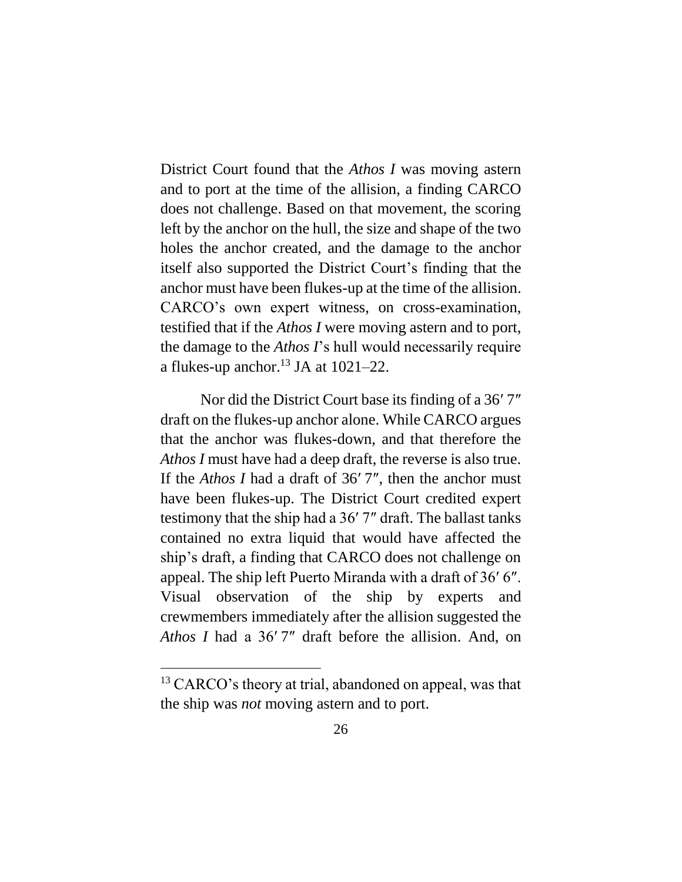District Court found that the *Athos I* was moving astern and to port at the time of the allision, a finding CARCO does not challenge. Based on that movement, the scoring left by the anchor on the hull, the size and shape of the two holes the anchor created, and the damage to the anchor itself also supported the District Court's finding that the anchor must have been flukes-up at the time of the allision. CARCO's own expert witness, on cross-examination, testified that if the *Athos I* were moving astern and to port, the damage to the *Athos I*'s hull would necessarily require a flukes-up anchor.<sup>13</sup> JA at  $1021-22$ .

Nor did the District Court base its finding of a 36′ 7″ draft on the flukes-up anchor alone. While CARCO argues that the anchor was flukes-down, and that therefore the *Athos I* must have had a deep draft, the reverse is also true. If the *Athos I* had a draft of 36′ 7″, then the anchor must have been flukes-up. The District Court credited expert testimony that the ship had a 36′ 7″ draft. The ballast tanks contained no extra liquid that would have affected the ship's draft, a finding that CARCO does not challenge on appeal. The ship left Puerto Miranda with a draft of 36′ 6″. Visual observation of the ship by experts and crewmembers immediately after the allision suggested the *Athos I* had a 36′ 7″ draft before the allision. And, on

 $\overline{a}$ 

<sup>&</sup>lt;sup>13</sup> CARCO's theory at trial, abandoned on appeal, was that the ship was *not* moving astern and to port.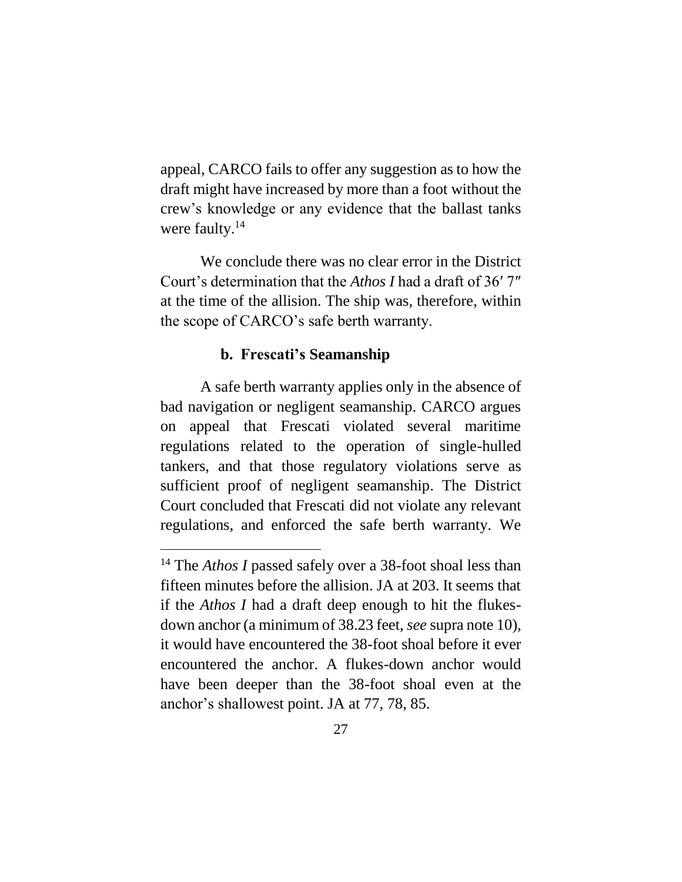appeal, CARCO fails to offer any suggestion as to how the draft might have increased by more than a foot without the crew's knowledge or any evidence that the ballast tanks were faulty.<sup>14</sup>

We conclude there was no clear error in the District Court's determination that the *Athos I* had a draft of 36′ 7″ at the time of the allision. The ship was, therefore, within the scope of CARCO's safe berth warranty.

#### **b. Frescati's Seamanship**

<span id="page-26-0"></span>A safe berth warranty applies only in the absence of bad navigation or negligent seamanship. CARCO argues on appeal that Frescati violated several maritime regulations related to the operation of single-hulled tankers, and that those regulatory violations serve as sufficient proof of negligent seamanship. The District Court concluded that Frescati did not violate any relevant regulations, and enforced the safe berth warranty. We

<sup>&</sup>lt;sup>14</sup> The *Athos I* passed safely over a 38-foot shoal less than fifteen minutes before the allision. JA at 203. It seems that if the *Athos I* had a draft deep enough to hit the flukesdown anchor (a minimum of 38.23 feet, *see* supra note [10\)](#page-21-0), it would have encountered the 38-foot shoal before it ever encountered the anchor. A flukes-down anchor would have been deeper than the 38-foot shoal even at the anchor's shallowest point. JA at 77, 78, 85.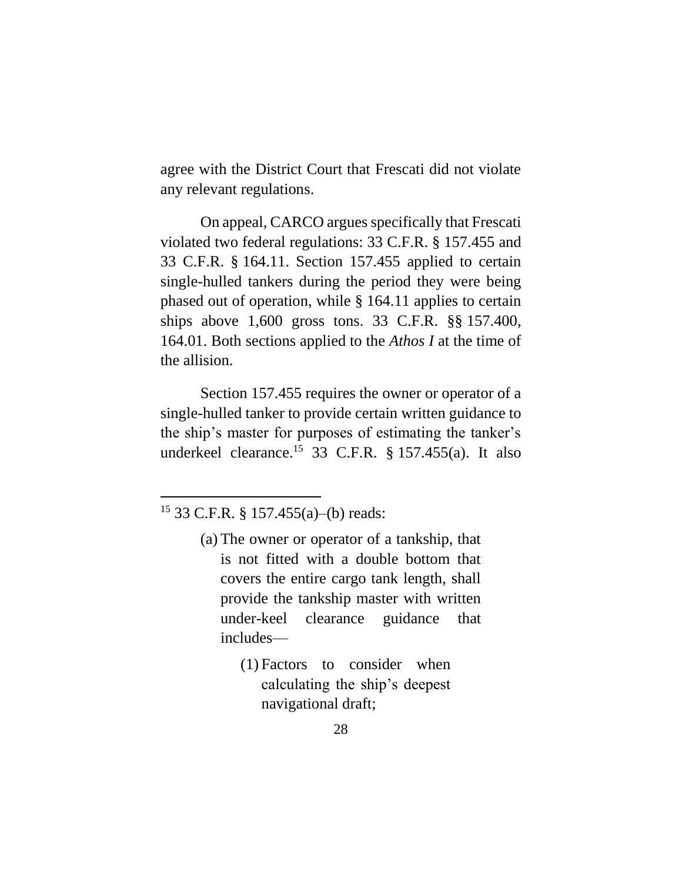agree with the District Court that Frescati did not violate any relevant regulations.

On appeal, CARCO argues specifically that Frescati violated two federal regulations: 33 C.F.R. § 157.455 and 33 C.F.R. § 164.11. Section 157.455 applied to certain single-hulled tankers during the period they were being phased out of operation, while § 164.11 applies to certain ships above 1,600 gross tons. 33 C.F.R. §§ 157.400, 164.01. Both sections applied to the *Athos I* at the time of the allision.

Section 157.455 requires the owner or operator of a single-hulled tanker to provide certain written guidance to the ship's master for purposes of estimating the tanker's underkeel clearance.<sup>15</sup> 33 C.F.R.  $\S$  157.455(a). It also

 $\overline{a}$ 

(1) Factors to consider when calculating the ship's deepest navigational draft;

<sup>15</sup> 33 C.F.R. § 157.455(a)–(b) reads:

<sup>(</sup>a) The owner or operator of a tankship, that is not fitted with a double bottom that covers the entire cargo tank length, shall provide the tankship master with written under-keel clearance guidance that includes—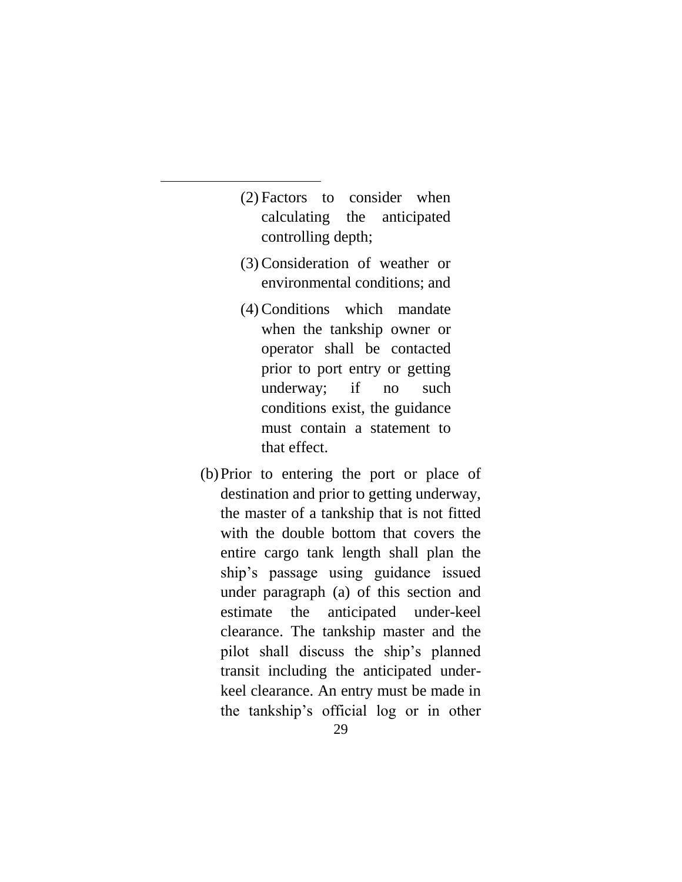(2) Factors to consider when calculating the anticipated controlling depth;

- (3)Consideration of weather or environmental conditions; and
- (4)Conditions which mandate when the tankship owner or operator shall be contacted prior to port entry or getting underway; if no such conditions exist, the guidance must contain a statement to that effect.
- (b)Prior to entering the port or place of destination and prior to getting underway, the master of a tankship that is not fitted with the double bottom that covers the entire cargo tank length shall plan the ship's passage using guidance issued under paragraph (a) of this section and estimate the anticipated under-keel clearance. The tankship master and the pilot shall discuss the ship's planned transit including the anticipated underkeel clearance. An entry must be made in the tankship's official log or in other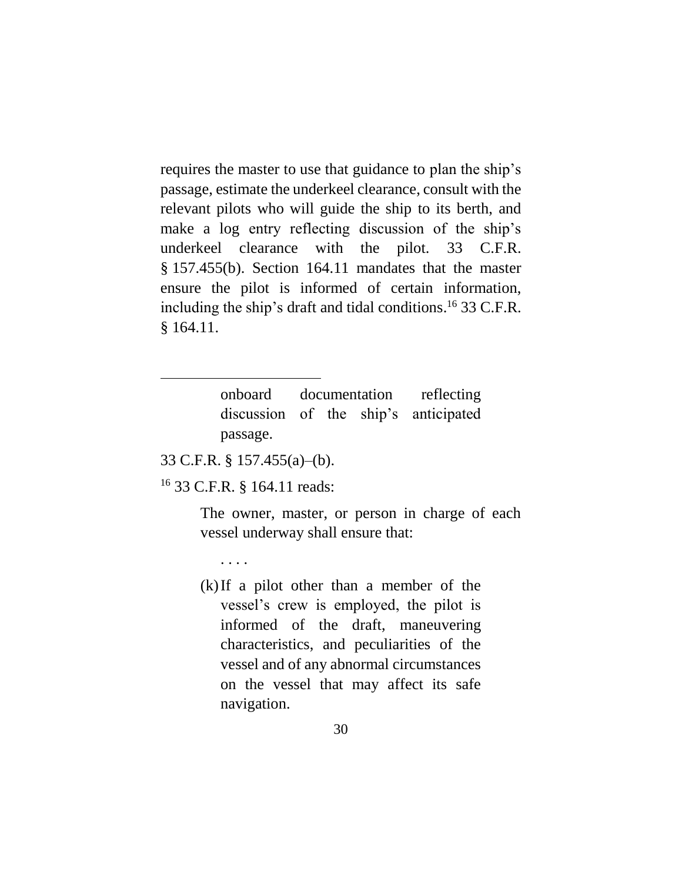requires the master to use that guidance to plan the ship's passage, estimate the underkeel clearance, consult with the relevant pilots who will guide the ship to its berth, and make a log entry reflecting discussion of the ship's underkeel clearance with the pilot. 33 C.F.R. § 157.455(b). Section 164.11 mandates that the master ensure the pilot is informed of certain information, including the ship's draft and tidal conditions. <sup>16</sup> 33 C.F.R. § 164.11.

> onboard documentation reflecting discussion of the ship's anticipated passage.

33 C.F.R. § 157.455(a)–(b).

 $\overline{a}$ 

<sup>16</sup> 33 C.F.R. § 164.11 reads:

The owner, master, or person in charge of each vessel underway shall ensure that:

. . . .

(k)If a pilot other than a member of the vessel's crew is employed, the pilot is informed of the draft, maneuvering characteristics, and peculiarities of the vessel and of any abnormal circumstances on the vessel that may affect its safe navigation.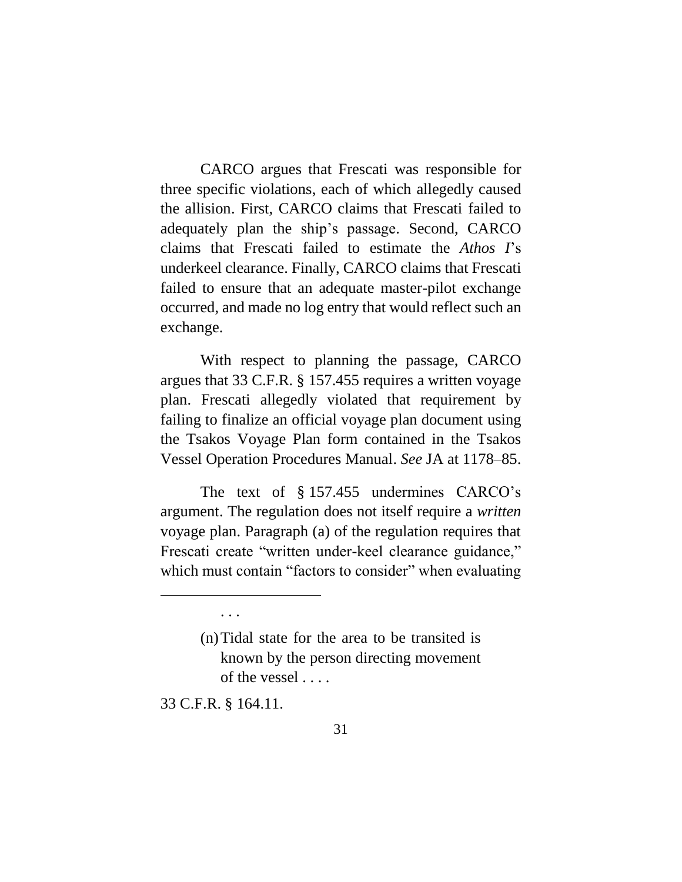CARCO argues that Frescati was responsible for three specific violations, each of which allegedly caused the allision. First, CARCO claims that Frescati failed to adequately plan the ship's passage. Second, CARCO claims that Frescati failed to estimate the *Athos I*'s underkeel clearance. Finally, CARCO claims that Frescati failed to ensure that an adequate master-pilot exchange occurred, and made no log entry that would reflect such an exchange.

With respect to planning the passage, CARCO argues that 33 C.F.R. § 157.455 requires a written voyage plan. Frescati allegedly violated that requirement by failing to finalize an official voyage plan document using the Tsakos Voyage Plan form contained in the Tsakos Vessel Operation Procedures Manual. *See* JA at 1178–85.

The text of § 157.455 undermines CARCO's argument. The regulation does not itself require a *written* voyage plan. Paragraph (a) of the regulation requires that Frescati create "written under-keel clearance guidance," which must contain "factors to consider" when evaluating

33 C.F.R. § 164.11.

. . .

 $\overline{a}$ 

<sup>(</sup>n)Tidal state for the area to be transited is known by the person directing movement of the vessel . . . .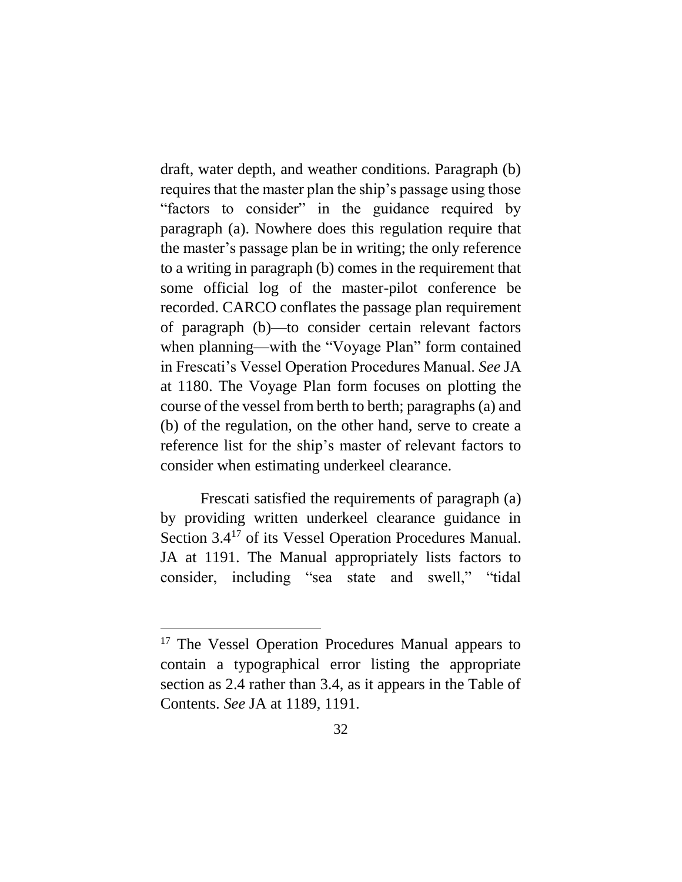draft, water depth, and weather conditions. Paragraph (b) requires that the master plan the ship's passage using those "factors to consider" in the guidance required by paragraph (a). Nowhere does this regulation require that the master's passage plan be in writing; the only reference to a writing in paragraph (b) comes in the requirement that some official log of the master-pilot conference be recorded. CARCO conflates the passage plan requirement of paragraph (b)—to consider certain relevant factors when planning—with the "Voyage Plan" form contained in Frescati's Vessel Operation Procedures Manual. *See* JA at 1180. The Voyage Plan form focuses on plotting the course of the vessel from berth to berth; paragraphs (a) and (b) of the regulation, on the other hand, serve to create a reference list for the ship's master of relevant factors to consider when estimating underkeel clearance.

Frescati satisfied the requirements of paragraph (a) by providing written underkeel clearance guidance in Section 3.4<sup>17</sup> of its Vessel Operation Procedures Manual. JA at 1191. The Manual appropriately lists factors to consider, including "sea state and swell," "tidal

<sup>&</sup>lt;sup>17</sup> The Vessel Operation Procedures Manual appears to contain a typographical error listing the appropriate section as 2.4 rather than 3.4, as it appears in the Table of Contents. *See* JA at 1189, 1191.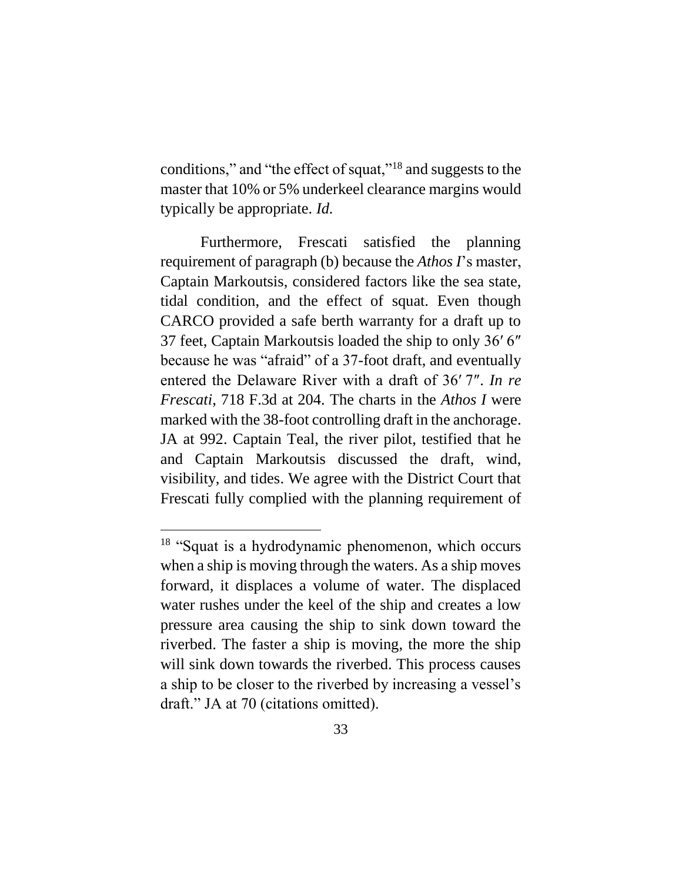conditions," and "the effect of squat,"<sup>18</sup> and suggests to the master that 10% or 5% underkeel clearance margins would typically be appropriate. *Id.*

Furthermore, Frescati satisfied the planning requirement of paragraph (b) because the *Athos I*'s master, Captain Markoutsis, considered factors like the sea state, tidal condition, and the effect of squat. Even though CARCO provided a safe berth warranty for a draft up to 37 feet, Captain Markoutsis loaded the ship to only 36′ 6″ because he was "afraid" of a 37-foot draft, and eventually entered the Delaware River with a draft of 36′ 7″. *In re Frescati*, 718 F.3d at 204. The charts in the *Athos I* were marked with the 38-foot controlling draft in the anchorage. JA at 992. Captain Teal, the river pilot, testified that he and Captain Markoutsis discussed the draft, wind, visibility, and tides. We agree with the District Court that Frescati fully complied with the planning requirement of

<sup>&</sup>lt;sup>18</sup> "Squat is a hydrodynamic phenomenon, which occurs when a ship is moving through the waters. As a ship moves forward, it displaces a volume of water. The displaced water rushes under the keel of the ship and creates a low pressure area causing the ship to sink down toward the riverbed. The faster a ship is moving, the more the ship will sink down towards the riverbed. This process causes a ship to be closer to the riverbed by increasing a vessel's draft." JA at 70 (citations omitted).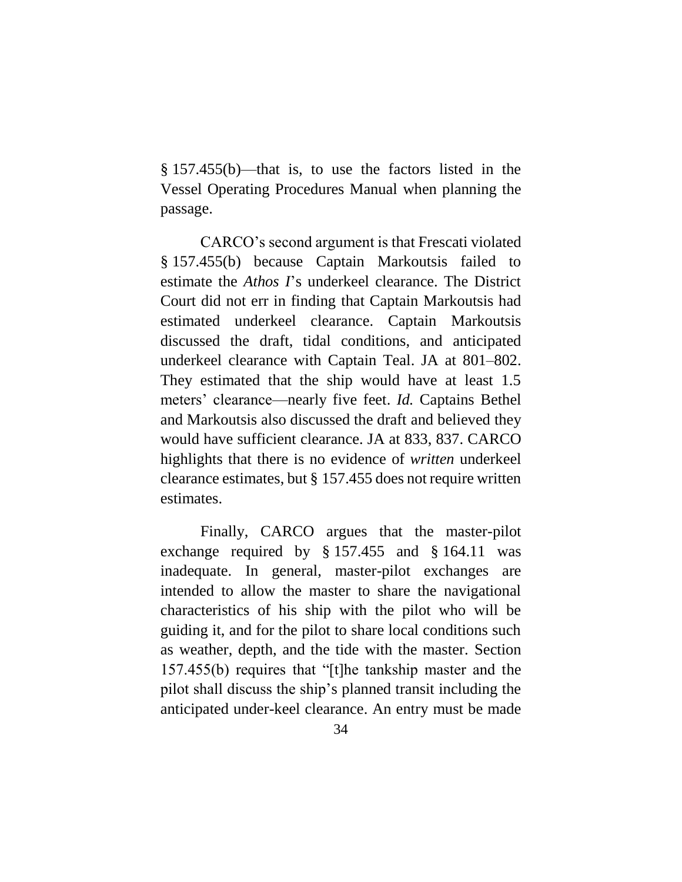§ 157.455(b)—that is, to use the factors listed in the Vessel Operating Procedures Manual when planning the passage.

CARCO's second argument is that Frescati violated § 157.455(b) because Captain Markoutsis failed to estimate the *Athos I*'s underkeel clearance. The District Court did not err in finding that Captain Markoutsis had estimated underkeel clearance. Captain Markoutsis discussed the draft, tidal conditions, and anticipated underkeel clearance with Captain Teal. JA at 801–802. They estimated that the ship would have at least 1.5 meters' clearance—nearly five feet. *Id.* Captains Bethel and Markoutsis also discussed the draft and believed they would have sufficient clearance. JA at 833, 837. CARCO highlights that there is no evidence of *written* underkeel clearance estimates, but § 157.455 does not require written estimates.

Finally, CARCO argues that the master-pilot exchange required by § 157.455 and § 164.11 was inadequate. In general, master-pilot exchanges are intended to allow the master to share the navigational characteristics of his ship with the pilot who will be guiding it, and for the pilot to share local conditions such as weather, depth, and the tide with the master. Section 157.455(b) requires that "[t]he tankship master and the pilot shall discuss the ship's planned transit including the anticipated under-keel clearance. An entry must be made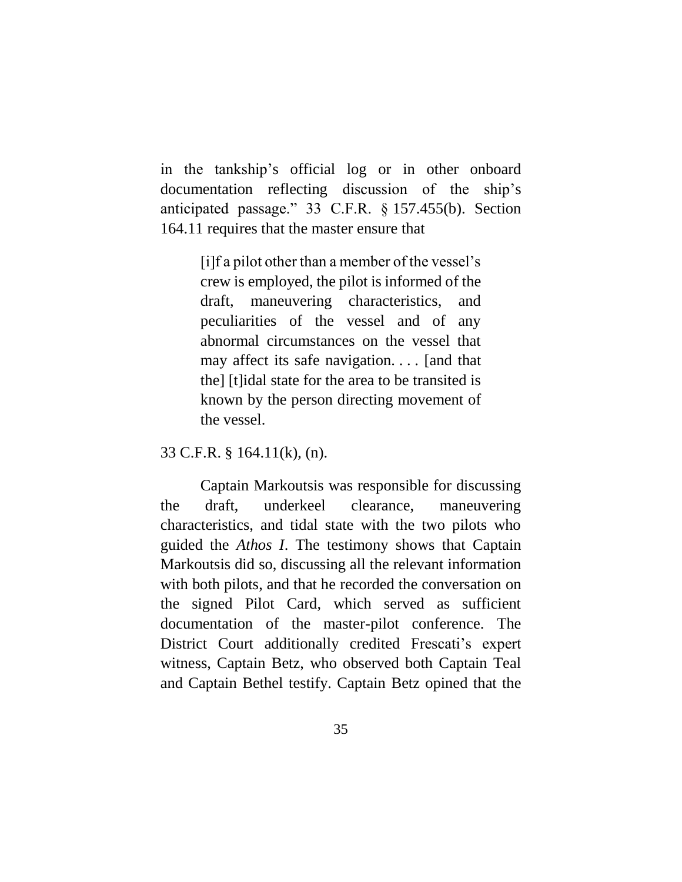in the tankship's official log or in other onboard documentation reflecting discussion of the ship's anticipated passage." 33 C.F.R. § 157.455(b). Section 164.11 requires that the master ensure that

> [i]f a pilot other than a member of the vessel's crew is employed, the pilot is informed of the draft, maneuvering characteristics, and peculiarities of the vessel and of any abnormal circumstances on the vessel that may affect its safe navigation. . . . [and that the] [t]idal state for the area to be transited is known by the person directing movement of the vessel.

33 C.F.R. § 164.11(k), (n).

Captain Markoutsis was responsible for discussing the draft, underkeel clearance, maneuvering characteristics, and tidal state with the two pilots who guided the *Athos I*. The testimony shows that Captain Markoutsis did so, discussing all the relevant information with both pilots, and that he recorded the conversation on the signed Pilot Card, which served as sufficient documentation of the master-pilot conference. The District Court additionally credited Frescati's expert witness, Captain Betz, who observed both Captain Teal and Captain Bethel testify. Captain Betz opined that the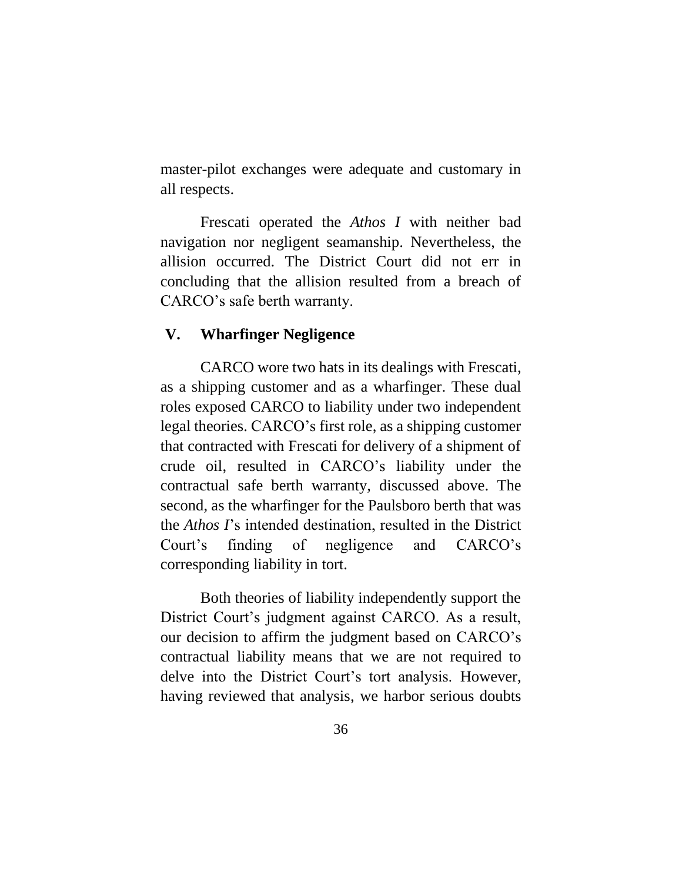master-pilot exchanges were adequate and customary in all respects.

Frescati operated the *Athos I* with neither bad navigation nor negligent seamanship. Nevertheless, the allision occurred. The District Court did not err in concluding that the allision resulted from a breach of CARCO's safe berth warranty.

### <span id="page-35-0"></span>**V. Wharfinger Negligence**

CARCO wore two hats in its dealings with Frescati, as a shipping customer and as a wharfinger. These dual roles exposed CARCO to liability under two independent legal theories. CARCO's first role, as a shipping customer that contracted with Frescati for delivery of a shipment of crude oil, resulted in CARCO's liability under the contractual safe berth warranty, discussed above. The second, as the wharfinger for the Paulsboro berth that was the *Athos I*'s intended destination, resulted in the District Court's finding of negligence and CARCO's corresponding liability in tort.

Both theories of liability independently support the District Court's judgment against CARCO. As a result, our decision to affirm the judgment based on CARCO's contractual liability means that we are not required to delve into the District Court's tort analysis. However, having reviewed that analysis, we harbor serious doubts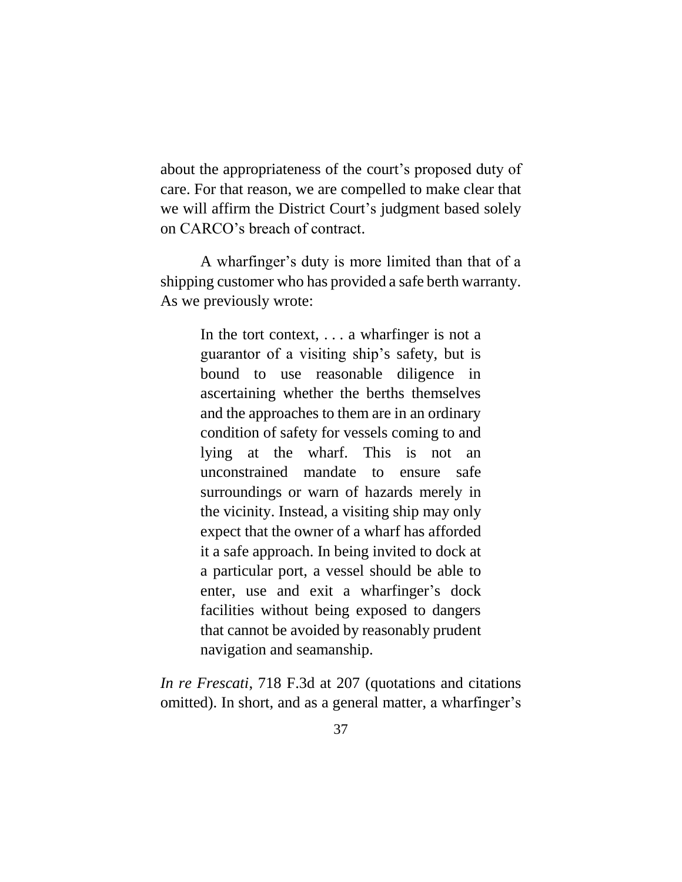about the appropriateness of the court's proposed duty of care. For that reason, we are compelled to make clear that we will affirm the District Court's judgment based solely on CARCO's breach of contract.

A wharfinger's duty is more limited than that of a shipping customer who has provided a safe berth warranty. As we previously wrote:

> In the tort context, . . . a wharfinger is not a guarantor of a visiting ship's safety, but is bound to use reasonable diligence in ascertaining whether the berths themselves and the approaches to them are in an ordinary condition of safety for vessels coming to and lying at the wharf. This is not an unconstrained mandate to ensure safe surroundings or warn of hazards merely in the vicinity. Instead, a visiting ship may only expect that the owner of a wharf has afforded it a safe approach. In being invited to dock at a particular port, a vessel should be able to enter, use and exit a wharfinger's dock facilities without being exposed to dangers that cannot be avoided by reasonably prudent navigation and seamanship.

*In re Frescati*, 718 F.3d at 207 (quotations and citations omitted). In short, and as a general matter, a wharfinger's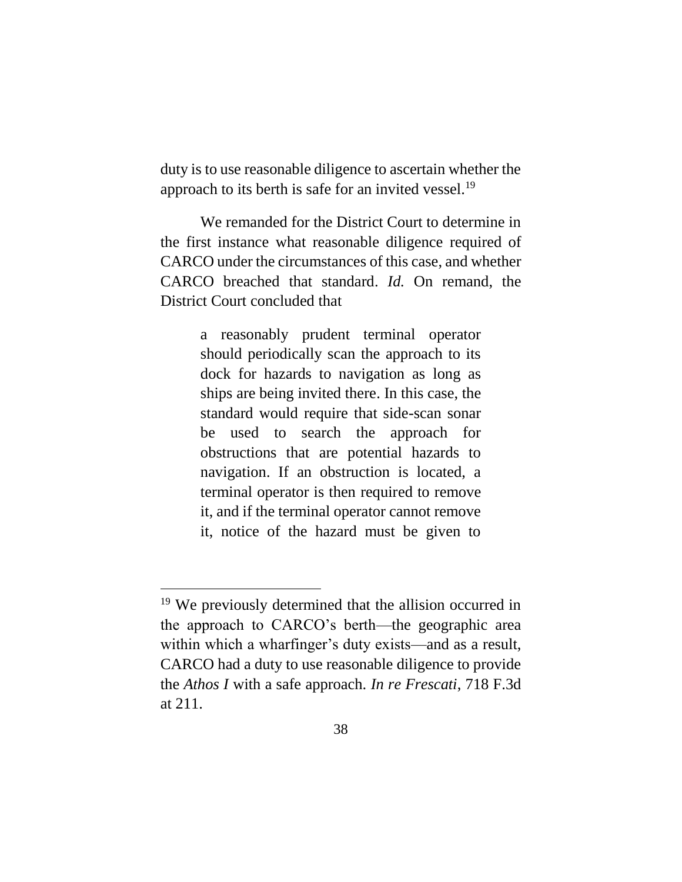duty is to use reasonable diligence to ascertain whether the approach to its berth is safe for an invited vessel.<sup>19</sup>

We remanded for the District Court to determine in the first instance what reasonable diligence required of CARCO under the circumstances of this case, and whether CARCO breached that standard. *Id.* On remand, the District Court concluded that

> a reasonably prudent terminal operator should periodically scan the approach to its dock for hazards to navigation as long as ships are being invited there. In this case, the standard would require that side-scan sonar be used to search the approach for obstructions that are potential hazards to navigation. If an obstruction is located, a terminal operator is then required to remove it, and if the terminal operator cannot remove it, notice of the hazard must be given to

 $\overline{a}$ 

<sup>&</sup>lt;sup>19</sup> We previously determined that the allision occurred in the approach to CARCO's berth—the geographic area within which a wharfinger's duty exists—and as a result, CARCO had a duty to use reasonable diligence to provide the *Athos I* with a safe approach. *In re Frescati*, 718 F.3d at 211.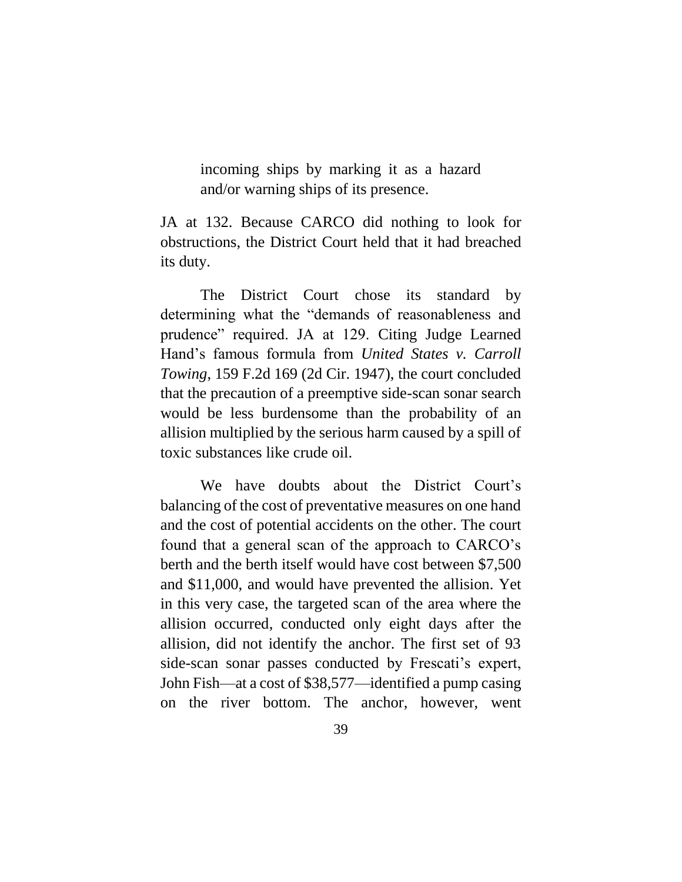incoming ships by marking it as a hazard and/or warning ships of its presence.

JA at 132. Because CARCO did nothing to look for obstructions, the District Court held that it had breached its duty.

The District Court chose its standard by determining what the "demands of reasonableness and prudence" required. JA at 129. Citing Judge Learned Hand's famous formula from *United States v. Carroll Towing*, 159 F.2d 169 (2d Cir. 1947), the court concluded that the precaution of a preemptive side-scan sonar search would be less burdensome than the probability of an allision multiplied by the serious harm caused by a spill of toxic substances like crude oil.

We have doubts about the District Court's balancing of the cost of preventative measures on one hand and the cost of potential accidents on the other. The court found that a general scan of the approach to CARCO's berth and the berth itself would have cost between \$7,500 and \$11,000, and would have prevented the allision. Yet in this very case, the targeted scan of the area where the allision occurred, conducted only eight days after the allision, did not identify the anchor. The first set of 93 side-scan sonar passes conducted by Frescati's expert, John Fish—at a cost of \$38,577—identified a pump casing on the river bottom. The anchor, however, went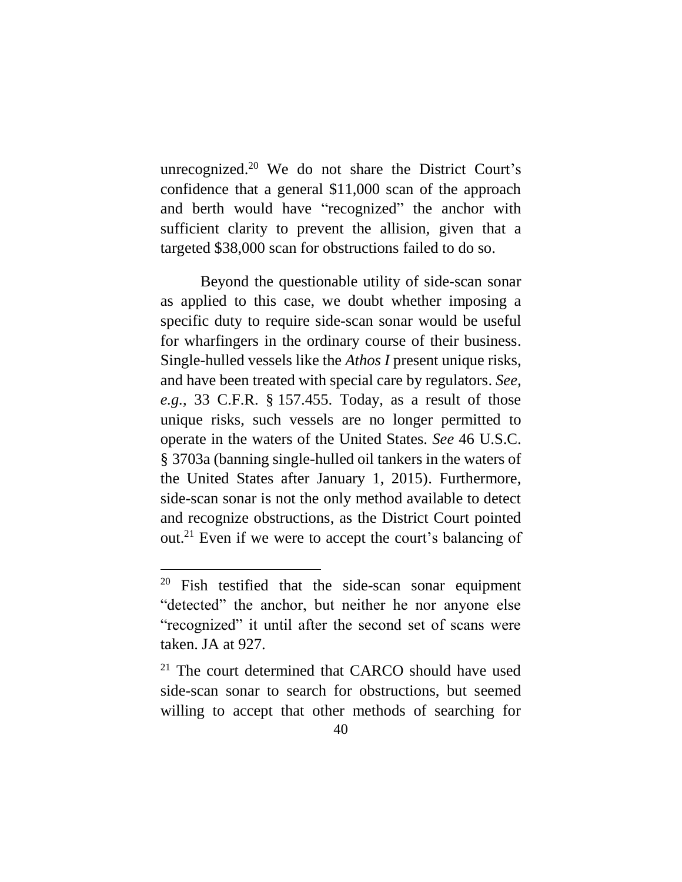unrecognized. <sup>20</sup> We do not share the District Court's confidence that a general \$11,000 scan of the approach and berth would have "recognized" the anchor with sufficient clarity to prevent the allision, given that a targeted \$38,000 scan for obstructions failed to do so.

Beyond the questionable utility of side-scan sonar as applied to this case, we doubt whether imposing a specific duty to require side-scan sonar would be useful for wharfingers in the ordinary course of their business. Single-hulled vessels like the *Athos I* present unique risks, and have been treated with special care by regulators. *See, e.g.*, 33 C.F.R. § 157.455. Today, as a result of those unique risks, such vessels are no longer permitted to operate in the waters of the United States. *See* 46 U.S.C. § 3703a (banning single-hulled oil tankers in the waters of the United States after January 1, 2015). Furthermore, side-scan sonar is not the only method available to detect and recognize obstructions, as the District Court pointed out.<sup>21</sup> Even if we were to accept the court's balancing of

 $\overline{a}$ 

<sup>20</sup> Fish testified that the side-scan sonar equipment "detected" the anchor, but neither he nor anyone else "recognized" it until after the second set of scans were taken. JA at 927.

 $21$  The court determined that CARCO should have used side-scan sonar to search for obstructions, but seemed willing to accept that other methods of searching for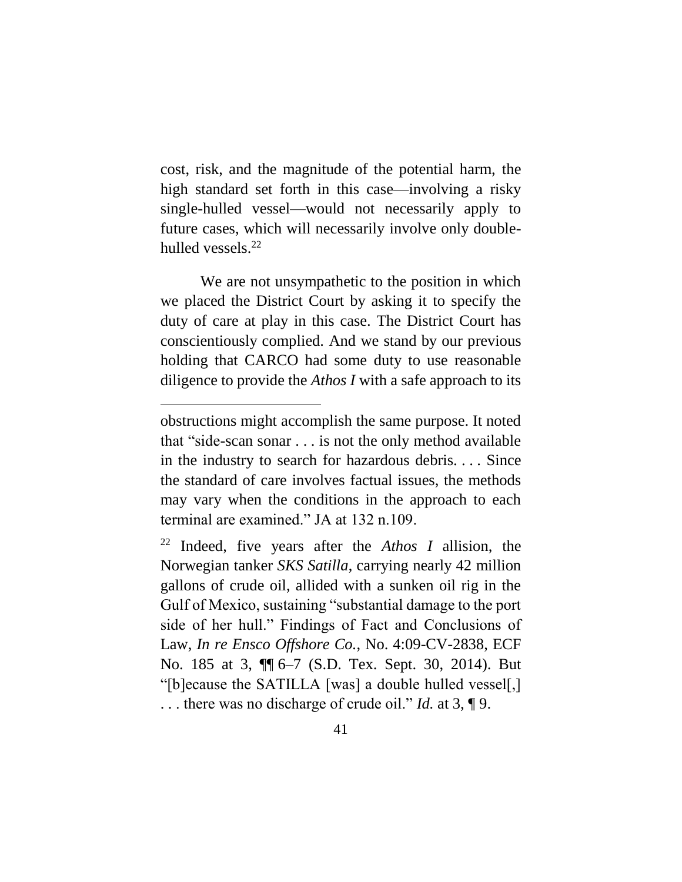cost, risk, and the magnitude of the potential harm, the high standard set forth in this case—involving a risky single-hulled vessel—would not necessarily apply to future cases, which will necessarily involve only doublehulled vessels. $^{22}$ 

We are not unsympathetic to the position in which we placed the District Court by asking it to specify the duty of care at play in this case. The District Court has conscientiously complied. And we stand by our previous holding that CARCO had some duty to use reasonable diligence to provide the *Athos I* with a safe approach to its

 $\overline{a}$ 

obstructions might accomplish the same purpose. It noted that "side-scan sonar . . . is not the only method available in the industry to search for hazardous debris. . . . Since the standard of care involves factual issues, the methods may vary when the conditions in the approach to each terminal are examined." JA at 132 n.109.

<sup>22</sup> Indeed, five years after the *Athos I* allision, the Norwegian tanker *SKS Satilla*, carrying nearly 42 million gallons of crude oil, allided with a sunken oil rig in the Gulf of Mexico, sustaining "substantial damage to the port side of her hull." Findings of Fact and Conclusions of Law, *In re Ensco Offshore Co.*, No. 4:09-CV-2838, ECF No. 185 at 3, ¶¶ 6–7 (S.D. Tex. Sept. 30, 2014). But "[b]ecause the SATILLA [was] a double hulled vessel[,] . . . there was no discharge of crude oil." *Id.* at 3, ¶ 9.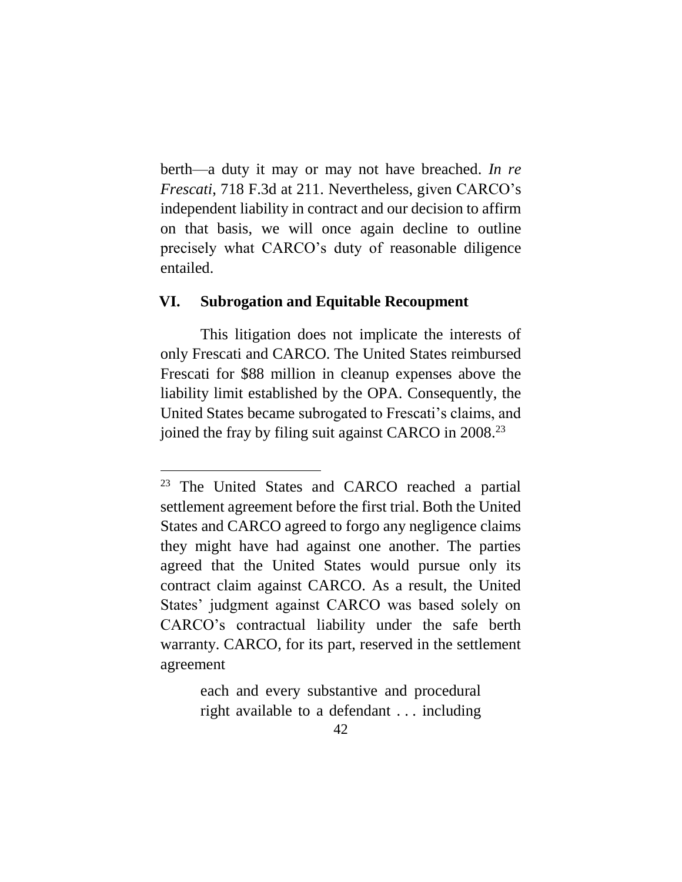berth—a duty it may or may not have breached. *In re Frescati*, 718 F.3d at 211. Nevertheless, given CARCO's independent liability in contract and our decision to affirm on that basis, we will once again decline to outline precisely what CARCO's duty of reasonable diligence entailed.

#### <span id="page-41-0"></span>**VI. Subrogation and Equitable Recoupment**

This litigation does not implicate the interests of only Frescati and CARCO. The United States reimbursed Frescati for \$88 million in cleanup expenses above the liability limit established by the OPA. Consequently, the United States became subrogated to Frescati's claims, and joined the fray by filing suit against CARCO in  $2008.<sup>23</sup>$ 

each and every substantive and procedural right available to a defendant . . . including

<sup>23</sup> The United States and CARCO reached a partial settlement agreement before the first trial. Both the United States and CARCO agreed to forgo any negligence claims they might have had against one another. The parties agreed that the United States would pursue only its contract claim against CARCO. As a result, the United States' judgment against CARCO was based solely on CARCO's contractual liability under the safe berth warranty. CARCO, for its part, reserved in the settlement agreement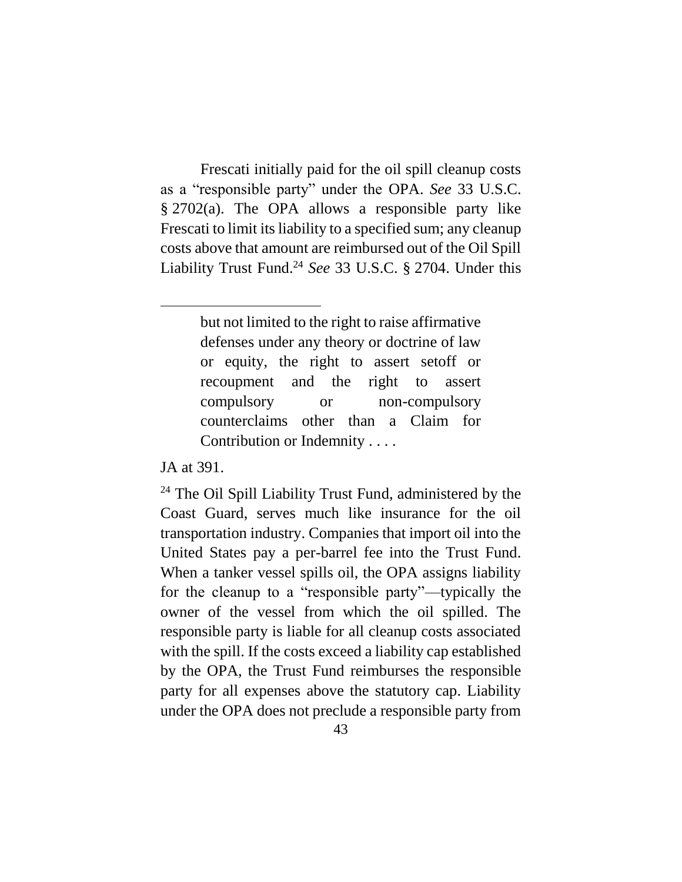Frescati initially paid for the oil spill cleanup costs as a "responsible party" under the OPA. *See* 33 U.S.C. § 2702(a). The OPA allows a responsible party like Frescati to limit its liability to a specified sum; any cleanup costs above that amount are reimbursed out of the Oil Spill Liability Trust Fund.<sup>24</sup> *See* 33 U.S.C. § 2704. Under this

> but not limited to the right to raise affirmative defenses under any theory or doctrine of law or equity, the right to assert setoff or recoupment and the right to assert compulsory or non-compulsory counterclaims other than a Claim for Contribution or Indemnity . . . .

JA at 391.

<sup>24</sup> The Oil Spill Liability Trust Fund, administered by the Coast Guard, serves much like insurance for the oil transportation industry. Companies that import oil into the United States pay a per-barrel fee into the Trust Fund. When a tanker vessel spills oil, the OPA assigns liability for the cleanup to a "responsible party"—typically the owner of the vessel from which the oil spilled. The responsible party is liable for all cleanup costs associated with the spill. If the costs exceed a liability cap established by the OPA, the Trust Fund reimburses the responsible party for all expenses above the statutory cap. Liability under the OPA does not preclude a responsible party from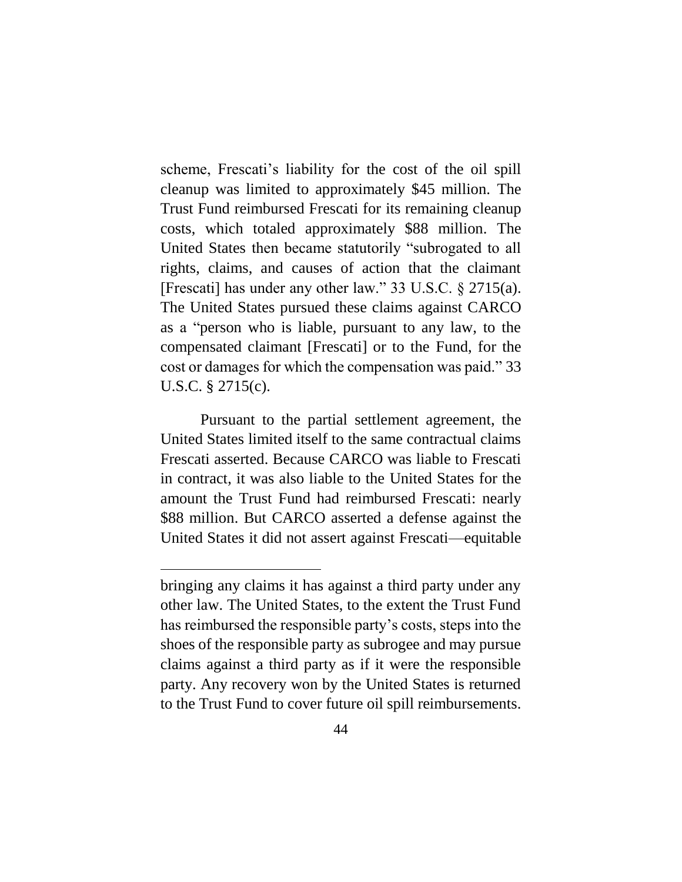scheme, Frescati's liability for the cost of the oil spill cleanup was limited to approximately \$45 million. The Trust Fund reimbursed Frescati for its remaining cleanup costs, which totaled approximately \$88 million. The United States then became statutorily "subrogated to all rights, claims, and causes of action that the claimant [Frescati] has under any other law." 33 U.S.C. § 2715(a). The United States pursued these claims against CARCO as a "person who is liable, pursuant to any law, to the compensated claimant [Frescati] or to the Fund, for the cost or damages for which the compensation was paid." 33 U.S.C. § 2715(c).

Pursuant to the partial settlement agreement, the United States limited itself to the same contractual claims Frescati asserted. Because CARCO was liable to Frescati in contract, it was also liable to the United States for the amount the Trust Fund had reimbursed Frescati: nearly \$88 million. But CARCO asserted a defense against the United States it did not assert against Frescati—equitable

 $\overline{a}$ 

bringing any claims it has against a third party under any other law. The United States, to the extent the Trust Fund has reimbursed the responsible party's costs, steps into the shoes of the responsible party as subrogee and may pursue claims against a third party as if it were the responsible party. Any recovery won by the United States is returned to the Trust Fund to cover future oil spill reimbursements.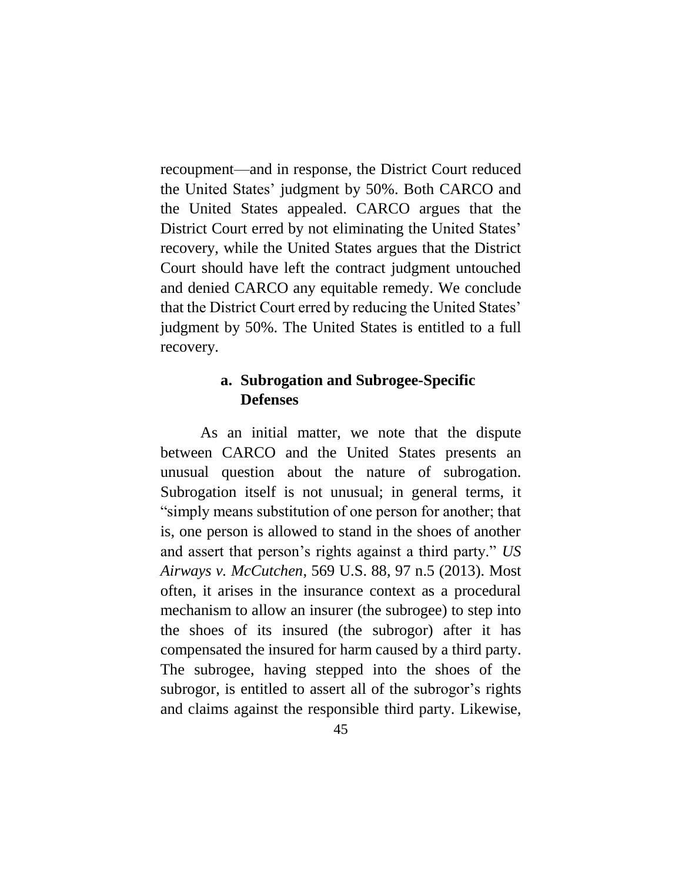recoupment—and in response, the District Court reduced the United States' judgment by 50%. Both CARCO and the United States appealed. CARCO argues that the District Court erred by not eliminating the United States' recovery, while the United States argues that the District Court should have left the contract judgment untouched and denied CARCO any equitable remedy. We conclude that the District Court erred by reducing the United States' judgment by 50%. The United States is entitled to a full recovery.

### **a. Subrogation and Subrogee-Specific Defenses**

<span id="page-44-0"></span>As an initial matter, we note that the dispute between CARCO and the United States presents an unusual question about the nature of subrogation. Subrogation itself is not unusual; in general terms, it "simply means substitution of one person for another; that is, one person is allowed to stand in the shoes of another and assert that person's rights against a third party." *US Airways v. McCutchen*, 569 U.S. 88, 97 n.5 (2013). Most often, it arises in the insurance context as a procedural mechanism to allow an insurer (the subrogee) to step into the shoes of its insured (the subrogor) after it has compensated the insured for harm caused by a third party. The subrogee, having stepped into the shoes of the subrogor, is entitled to assert all of the subrogor's rights and claims against the responsible third party. Likewise,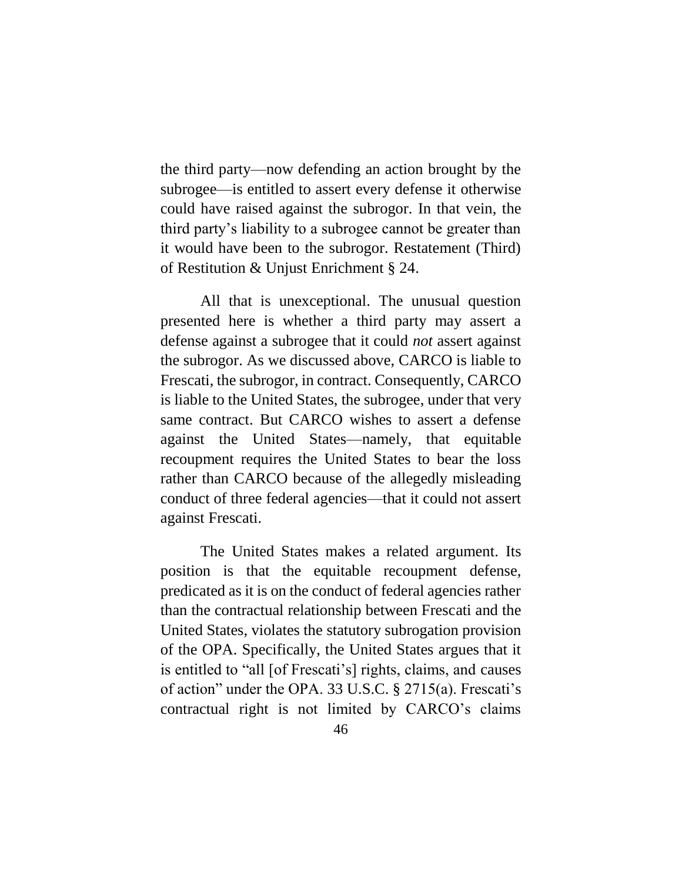the third party—now defending an action brought by the subrogee—is entitled to assert every defense it otherwise could have raised against the subrogor. In that vein, the third party's liability to a subrogee cannot be greater than it would have been to the subrogor. Restatement (Third) of Restitution & Unjust Enrichment § 24.

All that is unexceptional. The unusual question presented here is whether a third party may assert a defense against a subrogee that it could *not* assert against the subrogor. As we discussed above, CARCO is liable to Frescati, the subrogor, in contract. Consequently, CARCO is liable to the United States, the subrogee, under that very same contract. But CARCO wishes to assert a defense against the United States—namely, that equitable recoupment requires the United States to bear the loss rather than CARCO because of the allegedly misleading conduct of three federal agencies—that it could not assert against Frescati.

The United States makes a related argument. Its position is that the equitable recoupment defense, predicated as it is on the conduct of federal agencies rather than the contractual relationship between Frescati and the United States, violates the statutory subrogation provision of the OPA. Specifically, the United States argues that it is entitled to "all [of Frescati's] rights, claims, and causes of action" under the OPA. 33 U.S.C. § 2715(a). Frescati's contractual right is not limited by CARCO's claims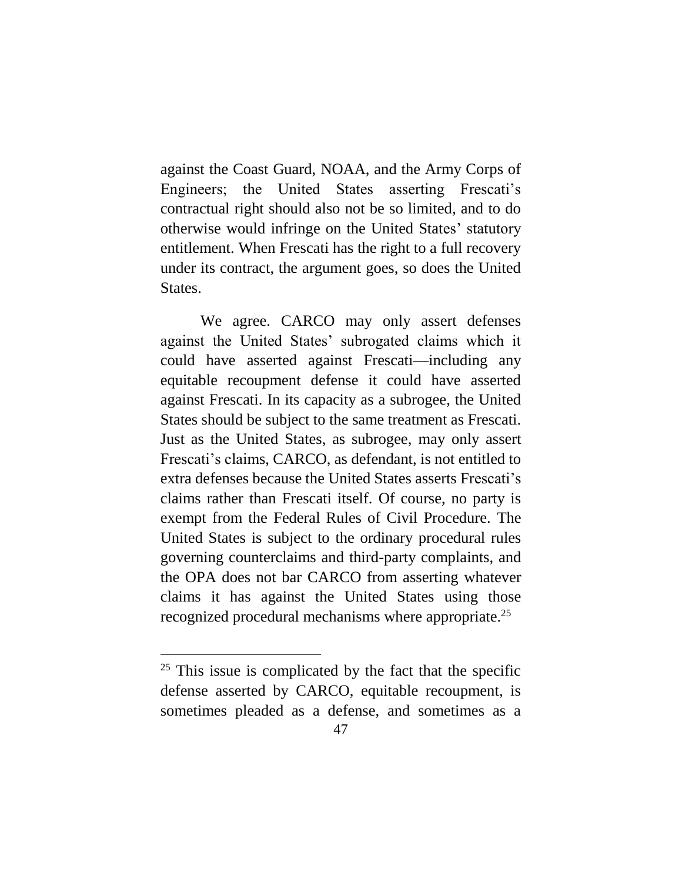against the Coast Guard, NOAA, and the Army Corps of Engineers; the United States asserting Frescati's contractual right should also not be so limited, and to do otherwise would infringe on the United States' statutory entitlement. When Frescati has the right to a full recovery under its contract, the argument goes, so does the United States.

We agree. CARCO may only assert defenses against the United States' subrogated claims which it could have asserted against Frescati—including any equitable recoupment defense it could have asserted against Frescati. In its capacity as a subrogee, the United States should be subject to the same treatment as Frescati. Just as the United States, as subrogee, may only assert Frescati's claims, CARCO, as defendant, is not entitled to extra defenses because the United States asserts Frescati's claims rather than Frescati itself. Of course, no party is exempt from the Federal Rules of Civil Procedure. The United States is subject to the ordinary procedural rules governing counterclaims and third-party complaints, and the OPA does not bar CARCO from asserting whatever claims it has against the United States using those recognized procedural mechanisms where appropriate.<sup>25</sup>

 $25$  This issue is complicated by the fact that the specific defense asserted by CARCO, equitable recoupment, is sometimes pleaded as a defense, and sometimes as a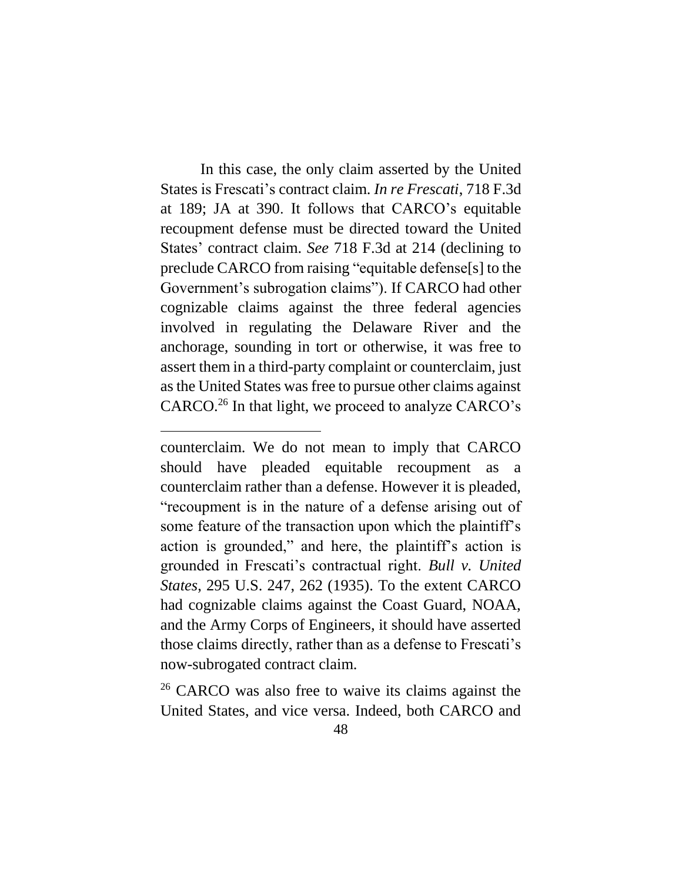In this case, the only claim asserted by the United States is Frescati's contract claim. *In re Frescati*, 718 F.3d at 189; JA at 390. It follows that CARCO's equitable recoupment defense must be directed toward the United States' contract claim. *See* 718 F.3d at 214 (declining to preclude CARCO from raising "equitable defense[s] to the Government's subrogation claims"). If CARCO had other cognizable claims against the three federal agencies involved in regulating the Delaware River and the anchorage, sounding in tort or otherwise, it was free to assert them in a third-party complaint or counterclaim, just as the United States was free to pursue other claims against CARCO.<sup>26</sup> In that light, we proceed to analyze CARCO's

 $\overline{a}$ 

<sup>26</sup> CARCO was also free to waive its claims against the United States, and vice versa. Indeed, both CARCO and

counterclaim. We do not mean to imply that CARCO should have pleaded equitable recoupment as a counterclaim rather than a defense. However it is pleaded, "recoupment is in the nature of a defense arising out of some feature of the transaction upon which the plaintiff's action is grounded," and here, the plaintiff's action is grounded in Frescati's contractual right. *Bull v. United States*, 295 U.S. 247, 262 (1935). To the extent CARCO had cognizable claims against the Coast Guard, NOAA, and the Army Corps of Engineers, it should have asserted those claims directly, rather than as a defense to Frescati's now-subrogated contract claim.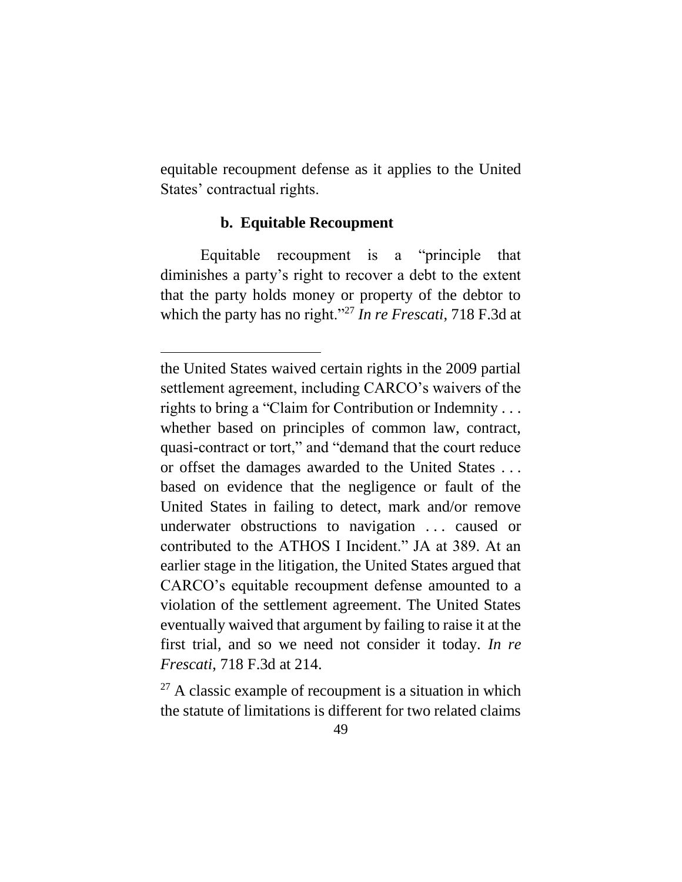equitable recoupment defense as it applies to the United States' contractual rights.

#### **b. Equitable Recoupment**

<span id="page-48-0"></span>Equitable recoupment is a "principle that diminishes a party's right to recover a debt to the extent that the party holds money or property of the debtor to which the party has no right."<sup>27</sup> *In re Frescati*, 718 F.3d at

 $27$  A classic example of recoupment is a situation in which the statute of limitations is different for two related claims

the United States waived certain rights in the 2009 partial settlement agreement, including CARCO's waivers of the rights to bring a "Claim for Contribution or Indemnity . . . whether based on principles of common law, contract, quasi-contract or tort," and "demand that the court reduce or offset the damages awarded to the United States . . . based on evidence that the negligence or fault of the United States in failing to detect, mark and/or remove underwater obstructions to navigation . . . caused or contributed to the ATHOS I Incident." JA at 389. At an earlier stage in the litigation, the United States argued that CARCO's equitable recoupment defense amounted to a violation of the settlement agreement. The United States eventually waived that argument by failing to raise it at the first trial, and so we need not consider it today. *In re Frescati*, 718 F.3d at 214.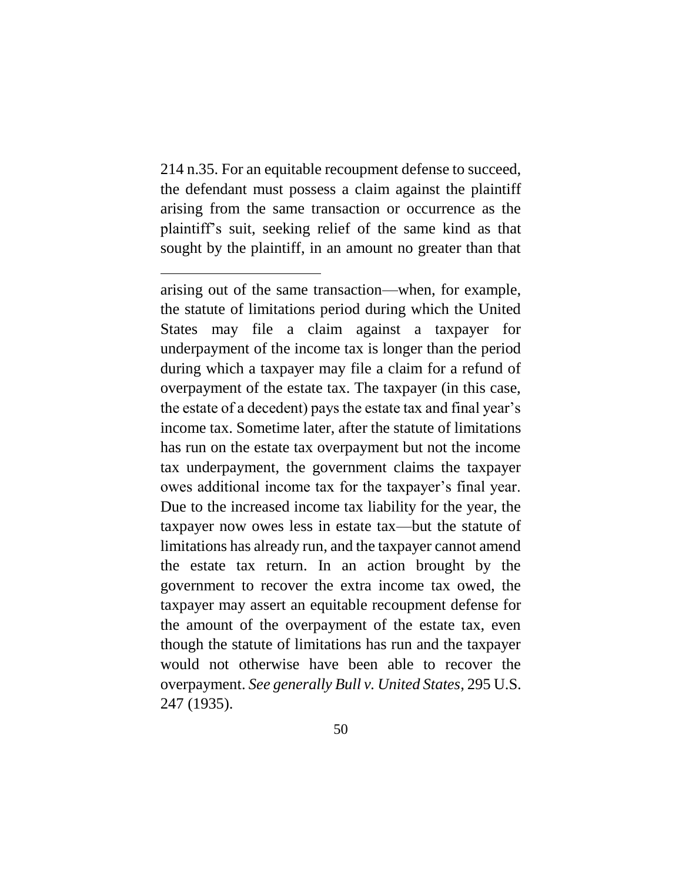214 n.35. For an equitable recoupment defense to succeed, the defendant must possess a claim against the plaintiff arising from the same transaction or occurrence as the plaintiff's suit, seeking relief of the same kind as that sought by the plaintiff, in an amount no greater than that

 $\overline{a}$ 

arising out of the same transaction—when, for example, the statute of limitations period during which the United States may file a claim against a taxpayer for underpayment of the income tax is longer than the period during which a taxpayer may file a claim for a refund of overpayment of the estate tax. The taxpayer (in this case, the estate of a decedent) pays the estate tax and final year's income tax. Sometime later, after the statute of limitations has run on the estate tax overpayment but not the income tax underpayment, the government claims the taxpayer owes additional income tax for the taxpayer's final year. Due to the increased income tax liability for the year, the taxpayer now owes less in estate tax—but the statute of limitations has already run, and the taxpayer cannot amend the estate tax return. In an action brought by the government to recover the extra income tax owed, the taxpayer may assert an equitable recoupment defense for the amount of the overpayment of the estate tax, even though the statute of limitations has run and the taxpayer would not otherwise have been able to recover the overpayment. *See generally Bull v. United States*, 295 U.S. 247 (1935).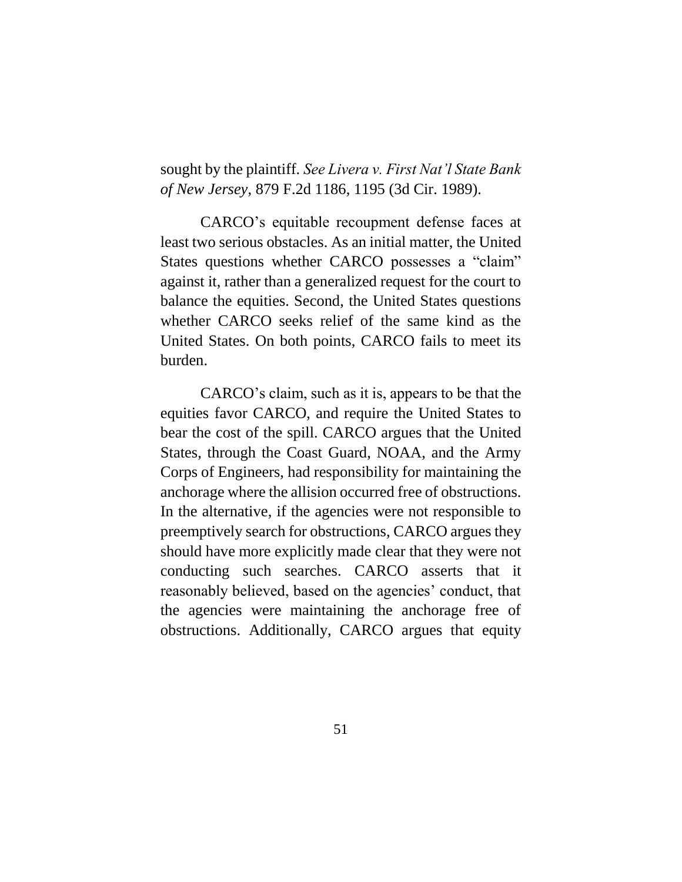sought by the plaintiff. *See Livera v. First Nat'l State Bank of New Jersey*, 879 F.2d 1186, 1195 (3d Cir. 1989).

CARCO's equitable recoupment defense faces at least two serious obstacles. As an initial matter, the United States questions whether CARCO possesses a "claim" against it, rather than a generalized request for the court to balance the equities. Second, the United States questions whether CARCO seeks relief of the same kind as the United States. On both points, CARCO fails to meet its burden.

CARCO's claim, such as it is, appears to be that the equities favor CARCO, and require the United States to bear the cost of the spill. CARCO argues that the United States, through the Coast Guard, NOAA, and the Army Corps of Engineers, had responsibility for maintaining the anchorage where the allision occurred free of obstructions. In the alternative, if the agencies were not responsible to preemptively search for obstructions, CARCO argues they should have more explicitly made clear that they were not conducting such searches. CARCO asserts that it reasonably believed, based on the agencies' conduct, that the agencies were maintaining the anchorage free of obstructions. Additionally, CARCO argues that equity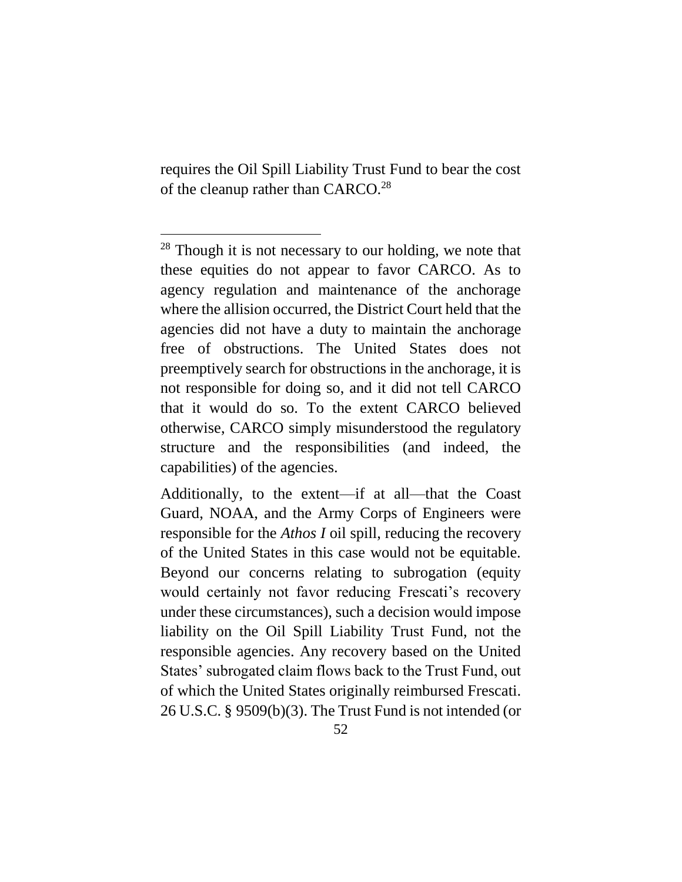requires the Oil Spill Liability Trust Fund to bear the cost of the cleanup rather than CARCO.<sup>28</sup>

 $\overline{a}$ 

<sup>&</sup>lt;sup>28</sup> Though it is not necessary to our holding, we note that these equities do not appear to favor CARCO. As to agency regulation and maintenance of the anchorage where the allision occurred, the District Court held that the agencies did not have a duty to maintain the anchorage free of obstructions. The United States does not preemptively search for obstructions in the anchorage, it is not responsible for doing so, and it did not tell CARCO that it would do so. To the extent CARCO believed otherwise, CARCO simply misunderstood the regulatory structure and the responsibilities (and indeed, the capabilities) of the agencies.

Additionally, to the extent—if at all—that the Coast Guard, NOAA, and the Army Corps of Engineers were responsible for the *Athos I* oil spill, reducing the recovery of the United States in this case would not be equitable. Beyond our concerns relating to subrogation (equity would certainly not favor reducing Frescati's recovery under these circumstances), such a decision would impose liability on the Oil Spill Liability Trust Fund, not the responsible agencies. Any recovery based on the United States' subrogated claim flows back to the Trust Fund, out of which the United States originally reimbursed Frescati. 26 U.S.C. § 9509(b)(3). The Trust Fund is not intended (or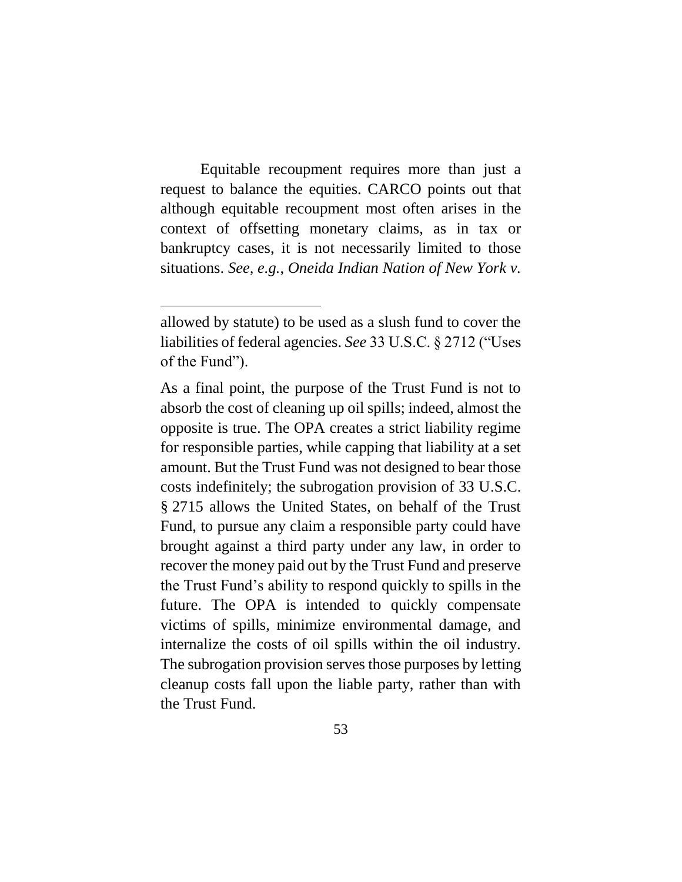Equitable recoupment requires more than just a request to balance the equities. CARCO points out that although equitable recoupment most often arises in the context of offsetting monetary claims, as in tax or bankruptcy cases, it is not necessarily limited to those situations. *See, e.g.*, *Oneida Indian Nation of New York v.* 

allowed by statute) to be used as a slush fund to cover the liabilities of federal agencies. *See* 33 U.S.C. § 2712 ("Uses of the Fund").

As a final point, the purpose of the Trust Fund is not to absorb the cost of cleaning up oil spills; indeed, almost the opposite is true. The OPA creates a strict liability regime for responsible parties, while capping that liability at a set amount. But the Trust Fund was not designed to bear those costs indefinitely; the subrogation provision of 33 U.S.C. § 2715 allows the United States, on behalf of the Trust Fund, to pursue any claim a responsible party could have brought against a third party under any law, in order to recover the money paid out by the Trust Fund and preserve the Trust Fund's ability to respond quickly to spills in the future. The OPA is intended to quickly compensate victims of spills, minimize environmental damage, and internalize the costs of oil spills within the oil industry. The subrogation provision serves those purposes by letting cleanup costs fall upon the liable party, rather than with the Trust Fund.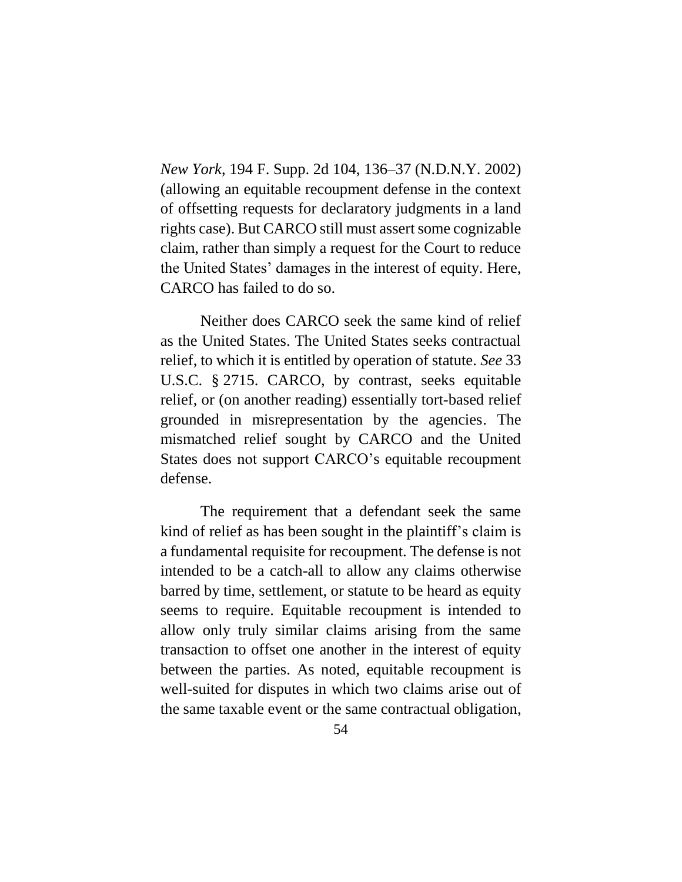*New York*, 194 F. Supp. 2d 104, 136–37 (N.D.N.Y. 2002) (allowing an equitable recoupment defense in the context of offsetting requests for declaratory judgments in a land rights case). But CARCO still must assert some cognizable claim, rather than simply a request for the Court to reduce the United States' damages in the interest of equity. Here, CARCO has failed to do so.

Neither does CARCO seek the same kind of relief as the United States. The United States seeks contractual relief, to which it is entitled by operation of statute. *See* 33 U.S.C. § 2715. CARCO, by contrast, seeks equitable relief, or (on another reading) essentially tort-based relief grounded in misrepresentation by the agencies. The mismatched relief sought by CARCO and the United States does not support CARCO's equitable recoupment defense.

The requirement that a defendant seek the same kind of relief as has been sought in the plaintiff's claim is a fundamental requisite for recoupment. The defense is not intended to be a catch-all to allow any claims otherwise barred by time, settlement, or statute to be heard as equity seems to require. Equitable recoupment is intended to allow only truly similar claims arising from the same transaction to offset one another in the interest of equity between the parties. As noted, equitable recoupment is well-suited for disputes in which two claims arise out of the same taxable event or the same contractual obligation,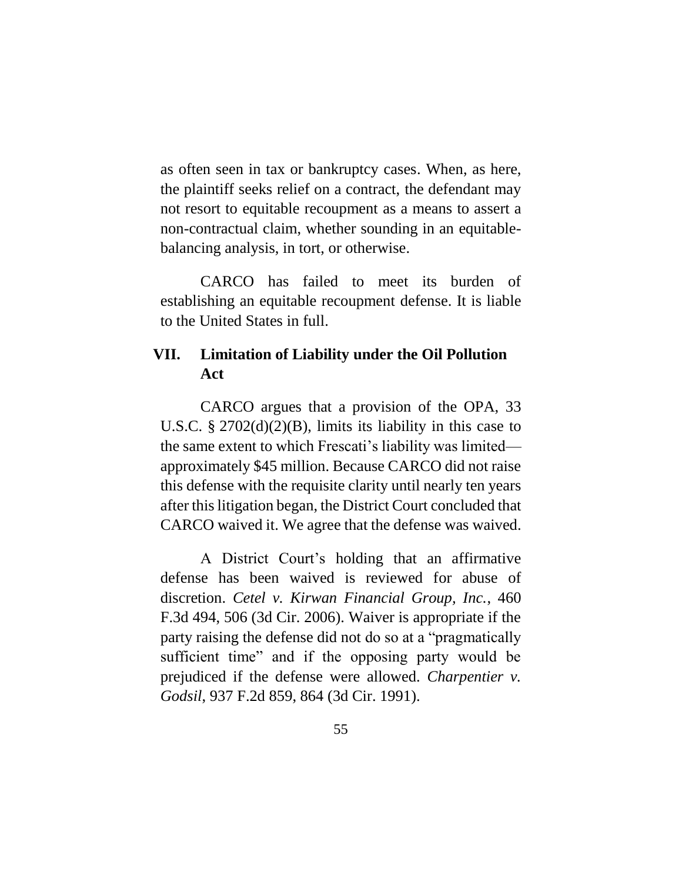as often seen in tax or bankruptcy cases. When, as here, the plaintiff seeks relief on a contract, the defendant may not resort to equitable recoupment as a means to assert a non-contractual claim, whether sounding in an equitablebalancing analysis, in tort, or otherwise.

CARCO has failed to meet its burden of establishing an equitable recoupment defense. It is liable to the United States in full.

# <span id="page-54-0"></span>**VII. Limitation of Liability under the Oil Pollution Act**

CARCO argues that a provision of the OPA, 33 U.S.C.  $\S 2702(d)(2)(B)$ , limits its liability in this case to the same extent to which Frescati's liability was limited approximately \$45 million. Because CARCO did not raise this defense with the requisite clarity until nearly ten years after this litigation began, the District Court concluded that CARCO waived it. We agree that the defense was waived.

A District Court's holding that an affirmative defense has been waived is reviewed for abuse of discretion. *Cetel v. Kirwan Financial Group, Inc.*, 460 F.3d 494, 506 (3d Cir. 2006). Waiver is appropriate if the party raising the defense did not do so at a "pragmatically sufficient time" and if the opposing party would be prejudiced if the defense were allowed. *Charpentier v. Godsil*, 937 F.2d 859, 864 (3d Cir. 1991).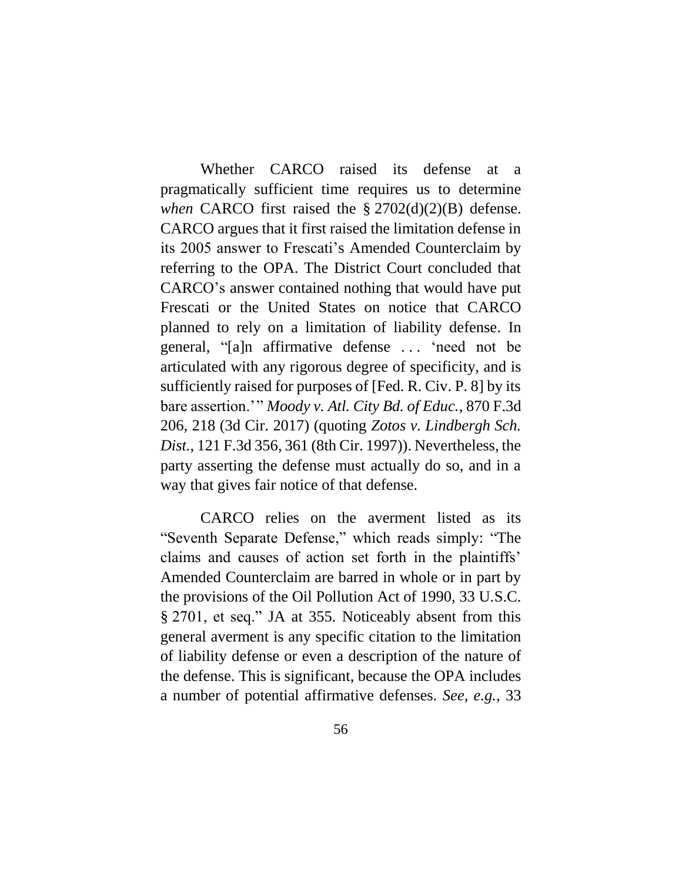Whether CARCO raised its defense at a pragmatically sufficient time requires us to determine *when* CARCO first raised the § 2702(d)(2)(B) defense. CARCO argues that it first raised the limitation defense in its 2005 answer to Frescati's Amended Counterclaim by referring to the OPA. The District Court concluded that CARCO's answer contained nothing that would have put Frescati or the United States on notice that CARCO planned to rely on a limitation of liability defense. In general, "[a]n affirmative defense . . . 'need not be articulated with any rigorous degree of specificity, and is sufficiently raised for purposes of [Fed. R. Civ. P. 8] by its bare assertion.'" *Moody v. Atl. City Bd. of Educ.*, 870 F.3d 206, 218 (3d Cir. 2017) (quoting *Zotos v. Lindbergh Sch. Dist.*, 121 F.3d 356, 361 (8th Cir. 1997)). Nevertheless, the party asserting the defense must actually do so, and in a way that gives fair notice of that defense.

CARCO relies on the averment listed as its "Seventh Separate Defense," which reads simply: "The claims and causes of action set forth in the plaintiffs' Amended Counterclaim are barred in whole or in part by the provisions of the Oil Pollution Act of 1990, 33 U.S.C. § 2701, et seq." JA at 355. Noticeably absent from this general averment is any specific citation to the limitation of liability defense or even a description of the nature of the defense. This is significant, because the OPA includes a number of potential affirmative defenses. *See, e.g.*, 33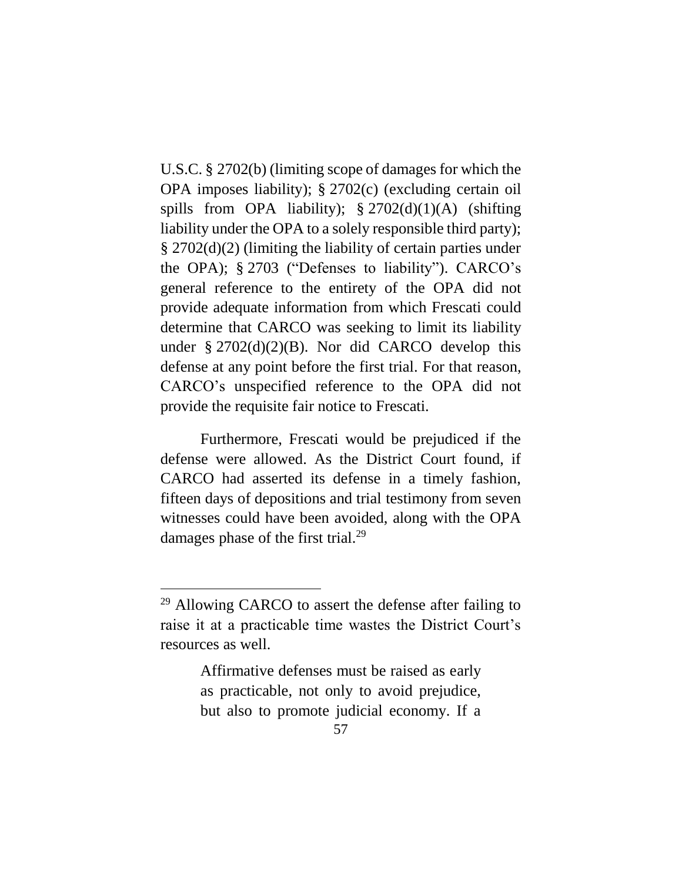U.S.C. § 2702(b) (limiting scope of damages for which the OPA imposes liability); § 2702(c) (excluding certain oil spills from OPA liability);  $\S 2702(d)(1)(A)$  (shifting liability under the OPA to a solely responsible third party); § 2702(d)(2) (limiting the liability of certain parties under the OPA); § 2703 ("Defenses to liability"). CARCO's general reference to the entirety of the OPA did not provide adequate information from which Frescati could determine that CARCO was seeking to limit its liability under  $\S 2702(d)(2)(B)$ . Nor did CARCO develop this defense at any point before the first trial. For that reason, CARCO's unspecified reference to the OPA did not provide the requisite fair notice to Frescati.

Furthermore, Frescati would be prejudiced if the defense were allowed. As the District Court found, if CARCO had asserted its defense in a timely fashion, fifteen days of depositions and trial testimony from seven witnesses could have been avoided, along with the OPA damages phase of the first trial.<sup>29</sup>

 $\overline{a}$ 

Affirmative defenses must be raised as early as practicable, not only to avoid prejudice, but also to promote judicial economy. If a

<sup>&</sup>lt;sup>29</sup> Allowing CARCO to assert the defense after failing to raise it at a practicable time wastes the District Court's resources as well.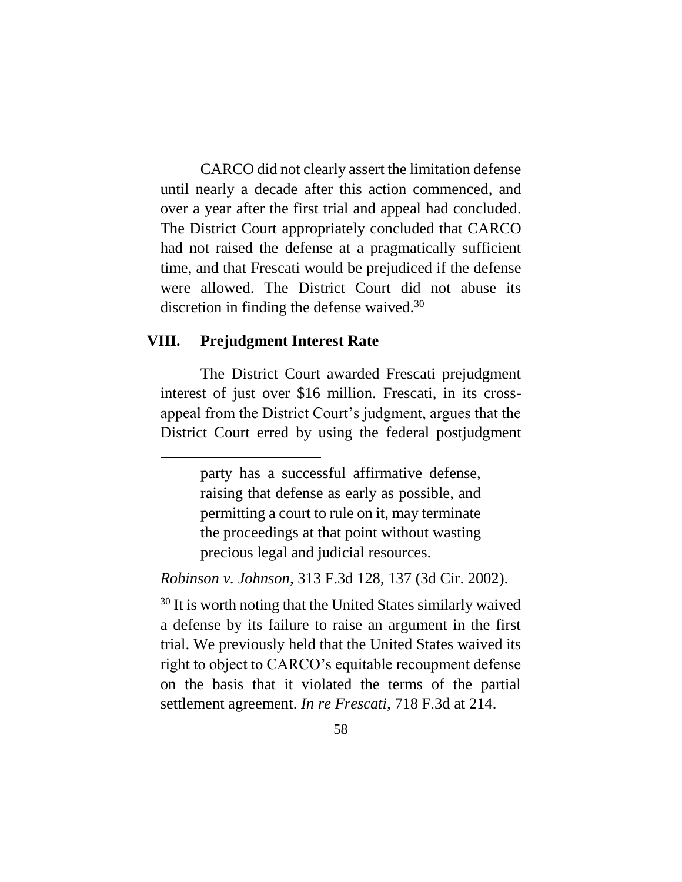CARCO did not clearly assert the limitation defense until nearly a decade after this action commenced, and over a year after the first trial and appeal had concluded. The District Court appropriately concluded that CARCO had not raised the defense at a pragmatically sufficient time, and that Frescati would be prejudiced if the defense were allowed. The District Court did not abuse its discretion in finding the defense waived.<sup>30</sup>

#### <span id="page-57-0"></span>**VIII. Prejudgment Interest Rate**

The District Court awarded Frescati prejudgment interest of just over \$16 million. Frescati, in its crossappeal from the District Court's judgment, argues that the District Court erred by using the federal postjudgment

*Robinson v. Johnson*, 313 F.3d 128, 137 (3d Cir. 2002).

<sup>30</sup> It is worth noting that the United States similarly waived a defense by its failure to raise an argument in the first trial. We previously held that the United States waived its right to object to CARCO's equitable recoupment defense on the basis that it violated the terms of the partial settlement agreement. *In re Frescati*, 718 F.3d at 214.

party has a successful affirmative defense, raising that defense as early as possible, and permitting a court to rule on it, may terminate the proceedings at that point without wasting precious legal and judicial resources.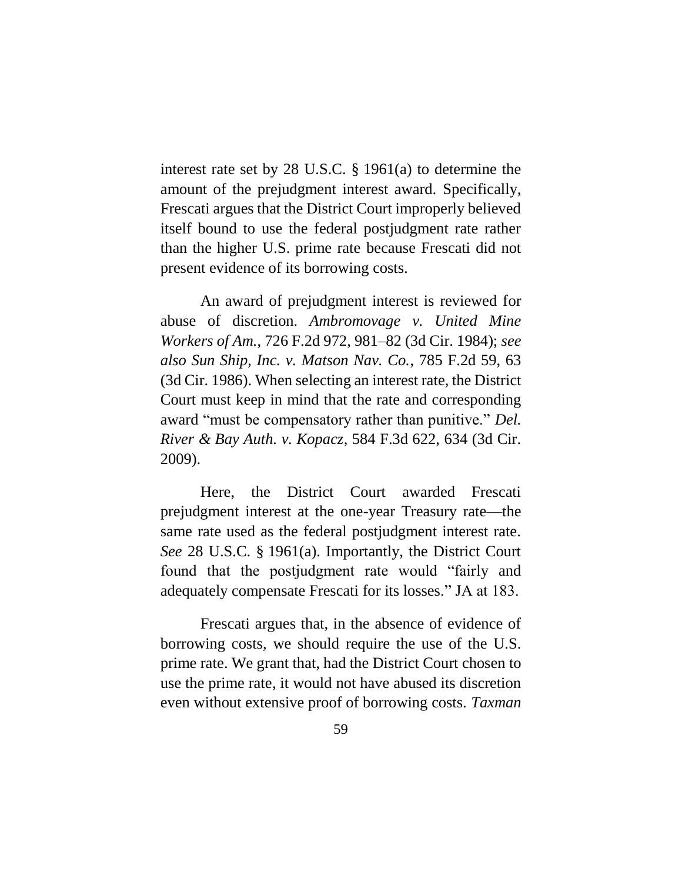interest rate set by 28 U.S.C. § 1961(a) to determine the amount of the prejudgment interest award. Specifically, Frescati argues that the District Court improperly believed itself bound to use the federal postjudgment rate rather than the higher U.S. prime rate because Frescati did not present evidence of its borrowing costs.

An award of prejudgment interest is reviewed for abuse of discretion. *Ambromovage v. United Mine Workers of Am.*, 726 F.2d 972, 981–82 (3d Cir. 1984); *see also Sun Ship, Inc. v. Matson Nav. Co.*, 785 F.2d 59, 63 (3d Cir. 1986). When selecting an interest rate, the District Court must keep in mind that the rate and corresponding award "must be compensatory rather than punitive." *Del. River & Bay Auth. v. Kopacz*, 584 F.3d 622, 634 (3d Cir. 2009).

Here, the District Court awarded Frescati prejudgment interest at the one-year Treasury rate—the same rate used as the federal postjudgment interest rate. *See* 28 U.S.C. § 1961(a). Importantly, the District Court found that the postjudgment rate would "fairly and adequately compensate Frescati for its losses." JA at 183.

Frescati argues that, in the absence of evidence of borrowing costs, we should require the use of the U.S. prime rate. We grant that, had the District Court chosen to use the prime rate, it would not have abused its discretion even without extensive proof of borrowing costs. *Taxman*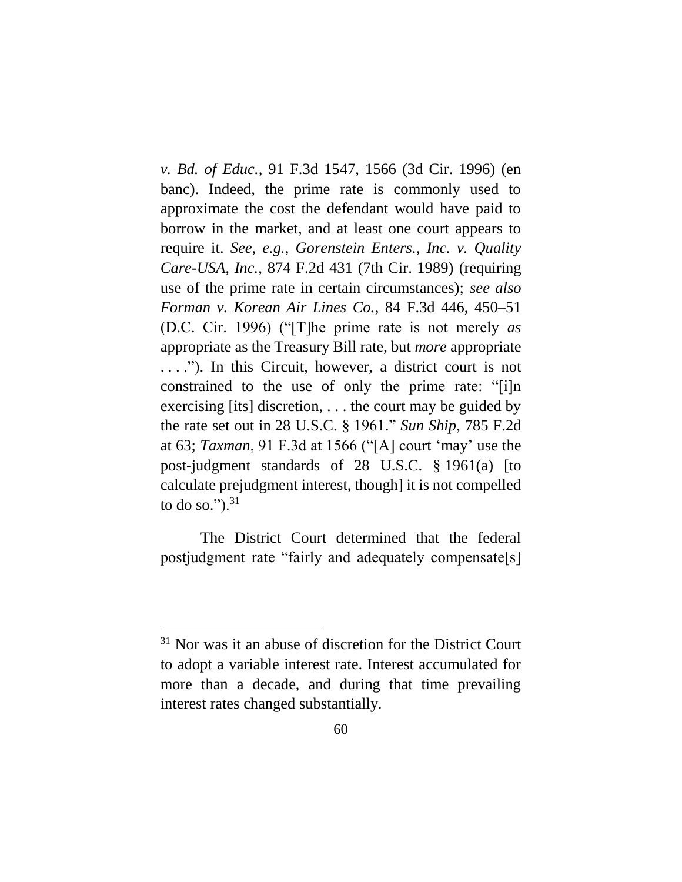*v. Bd. of Educ.*, 91 F.3d 1547, 1566 (3d Cir. 1996) (en banc). Indeed, the prime rate is commonly used to approximate the cost the defendant would have paid to borrow in the market, and at least one court appears to require it. *See, e.g.*, *Gorenstein Enters., Inc. v. Quality Care-USA, Inc.*, 874 F.2d 431 (7th Cir. 1989) (requiring use of the prime rate in certain circumstances); *see also Forman v. Korean Air Lines Co.*, 84 F.3d 446, 450–51 (D.C. Cir. 1996) ("[T]he prime rate is not merely *as*  appropriate as the Treasury Bill rate, but *more* appropriate . . . ."). In this Circuit, however, a district court is not constrained to the use of only the prime rate: "[i]n exercising [its] discretion, . . . the court may be guided by the rate set out in 28 U.S.C. § 1961." *Sun Ship*, 785 F.2d at 63; *Taxman*, 91 F.3d at 1566 ("[A] court 'may' use the post-judgment standards of 28 U.S.C. § 1961(a) [to calculate prejudgment interest, though] it is not compelled to do so."). $31$ 

The District Court determined that the federal postjudgment rate "fairly and adequately compensate[s]

<sup>&</sup>lt;sup>31</sup> Nor was it an abuse of discretion for the District Court to adopt a variable interest rate. Interest accumulated for more than a decade, and during that time prevailing interest rates changed substantially.